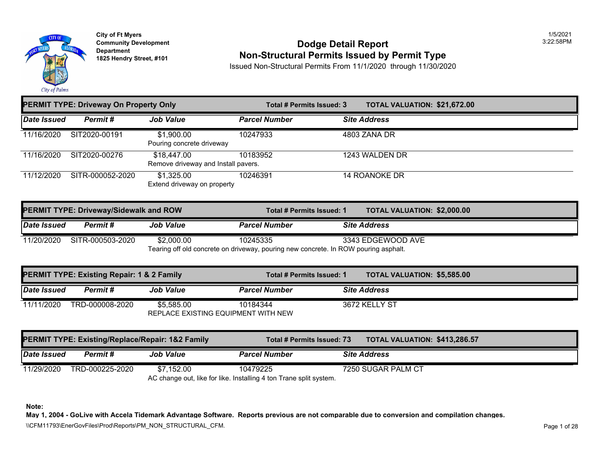

# **Community Developm[ent](https://1,325.00) Dodge Detail Report** 3:22:58PM **1825 Non-Structural Permits Issued by Permit Type**

Issued Non-Structural Permits From 11/1/2020 through 11/30/2020

| <b>PERMIT TYPE: Driveway On Property Only</b> |                  |                                                    | <b>TOTAL VALUATION: \$21,672</b><br>Total # Permits Issued: 3 |                     |
|-----------------------------------------------|------------------|----------------------------------------------------|---------------------------------------------------------------|---------------------|
| Date Issued                                   | Permit#          | <b>Job Value</b>                                   | <b>Parcel Number</b>                                          | <b>Site Address</b> |
| 11/16/2020                                    | SIT2020-00191    | \$1,900.00<br>Pouring concrete driveway            | 10247933                                                      | 4803 ZANA DR        |
| 11/16/2020                                    | SIT2020-00276    | \$18,447.00<br>Remove driveway and Install pavers. | 10183952                                                      | 1243 WALDEN DR      |
| 11/12/2020                                    | SITR-000052-2020 | \$1,325.00<br>Extend driveway on property          | 10246391                                                      | 14 ROANOKE DR       |

| <b>PERMIT TYPE: Driveway/Sidewalk and ROW</b>                                       |                  |                  |                      | <b>TOTAL VALUATION: \$2,000.0</b><br>Total # Permits Issued: 1 |                     |  |
|-------------------------------------------------------------------------------------|------------------|------------------|----------------------|----------------------------------------------------------------|---------------------|--|
| Date Issued                                                                         | Permit #         | <b>Job Value</b> | <b>Parcel Number</b> |                                                                | <b>Site Address</b> |  |
| 11/20/2020                                                                          | SITR-000503-2020 | \$2,000.00       | 10245335             |                                                                | 3343 EDGEWOOD AVE   |  |
| Tearing off old concrete on driveway, pouring new concrete. In ROW pouring asphalt. |                  |                  |                      |                                                                |                     |  |

| PERMIT TYPE: Existing Repair: 1 & 2 Family |                 |                  |                                                 | <b>TOTAL VALUATION: \$5,585.0</b><br>Total # Permits Issued: 1 |                     |  |
|--------------------------------------------|-----------------|------------------|-------------------------------------------------|----------------------------------------------------------------|---------------------|--|
| <i><b>Date Issued</b></i>                  | Permit #        | <b>Job Value</b> | <b>Parcel Number</b>                            |                                                                | <b>Site Address</b> |  |
| 11/11/2020                                 | TRD-000008-2020 | \$5,585.00       | 10184344<br>REPLACE EXISTING EQUIPMENT WITH NEW |                                                                | 3672 KELLY ST       |  |
|                                            |                 |                  |                                                 |                                                                |                     |  |

| PERMIT TYPE: Existing/Replace/Repair: 1&2 Family |                 |                  | Total # Permits Issued: 73                                         | <b>TOTAL VALUATION: \$413,28</b> |  |
|--------------------------------------------------|-----------------|------------------|--------------------------------------------------------------------|----------------------------------|--|
| <b>Date Issued</b>                               | Permit #        | <b>Job Value</b> | <b>Parcel Number</b>                                               | <b>Site Address</b>              |  |
| 11/29/2020                                       | TRD-000225-2020 | \$7.152.00       | 10479225                                                           | 7250 SUGAR PALM CT               |  |
|                                                  |                 |                  | AC change out, like for like. Installing 4 ton Trane split system. |                                  |  |

**Note:**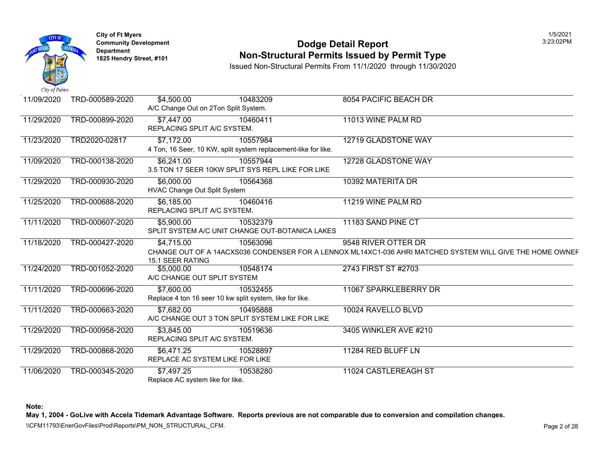

# **Community Developm[ent](https://6,000.00) Dodge Detail Report** 3:23:02PM **1825 Non-Structural Permits Issued by Permit Type**

Issued Non-Structural Permits From 11/1/2020 through 11/30/2020

| 11/09/2020 | TRD-000589-2020 | \$4,500.00<br>A/C Change Out on 2Ton Split System.                     | 10483209                                                                   | 8054 PACIFIC BEACH DR                                                                                |
|------------|-----------------|------------------------------------------------------------------------|----------------------------------------------------------------------------|------------------------------------------------------------------------------------------------------|
| 11/29/2020 | TRD-000899-2020 | \$7,447.00<br>REPLACING SPLIT A/C SYSTEM.                              | 10460411                                                                   | 11013 WINE PALM RD                                                                                   |
| 11/23/2020 | TRD2020-02817   | \$7,172.00                                                             | 10557984<br>4 Ton, 16 Seer, 10 KW, split system replacement-like for like. | 12719 GLADSTONE WAY                                                                                  |
| 11/09/2020 | TRD-000138-2020 | \$6,241.00                                                             | 10557944<br>3.5 TON 17 SEER 10KW SPLIT SYS REPL LIKE FOR LIKE              | 12728 GLADSTONE WAY                                                                                  |
| 11/29/2020 | TRD-000930-2020 | \$6,000.00<br>HVAC Change Out Split System                             | 10564368                                                                   | 10392 MATERITA DR                                                                                    |
| 11/25/2020 | TRD-000688-2020 | \$6,185.00<br>REPLACING SPLIT A/C SYSTEM.                              | 10460416                                                                   | 11219 WINE PALM RD                                                                                   |
| 11/11/2020 | TRD-000607-2020 | \$5,900.00                                                             | 10532379<br>SPLIT SYSTEM A/C UNIT CHANGE OUT-BOTANICA LAKES                | 11183 SAND PINE CT                                                                                   |
| 11/18/2020 | TRD-000427-2020 | \$4,715.00<br>15.1 SEER RATING                                         | 10563096                                                                   | 9548 RIVER OTTER DR<br>CHANGE OUT OF A 14ACXS036 CONDENSER FOR A LENNOX ML14XC1-036 AHRI MATCHED SYS |
| 11/24/2020 | TRD-001052-2020 | \$5,000.00<br>A/C CHANGE OUT SPLIT SYSTEM                              | 10548174                                                                   | 2743 FIRST ST #2703                                                                                  |
| 11/11/2020 | TRD-000696-2020 | \$7,600.00<br>Replace 4 ton 16 seer 10 kw split system, like for like. | 10532455                                                                   | 11067 SPARKLEBERRY DR                                                                                |
| 11/11/2020 | TRD-000663-2020 | \$7,682.00                                                             | 10495888<br>A/C CHANGE OUT 3 TON SPLIT SYSTEM LIKE FOR LIKE                | 10024 RAVELLO BLVD                                                                                   |
| 11/29/2020 | TRD-000958-2020 | \$3,845.00<br>REPLACING SPLIT A/C SYSTEM.                              | 10519636                                                                   | 3405 WINKLER AVE #210                                                                                |
| 11/29/2020 | TRD-000868-2020 | \$6,471.25<br>REPLACE AC SYSTEM LIKE FOR LIKE                          | 10528897                                                                   | 11284 RED BLUFF LN                                                                                   |
| 11/06/2020 | TRD-000345-2020 | \$7,497.25<br>Replace AC system like for like.                         | 10538280                                                                   | 11024 CASTLEREAGH ST                                                                                 |

**Note:**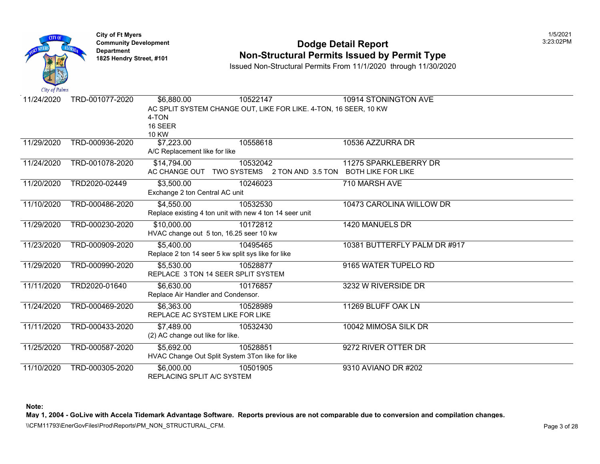

#### **Community Developm[ent](https://3,500.00) Dodge Detail Report** 3:23:02PM **Non-Structural Permits Issued by Permit Type**

Issued Non-Structural Permits From 11/1/2020 through 11/30/2020

| City of Palms |                 |                                                                  |                              |
|---------------|-----------------|------------------------------------------------------------------|------------------------------|
| 11/24/2020    | TRD-001077-2020 | \$6,880.00<br>10522147                                           | 10914 STONINGTON AVE         |
|               |                 | AC SPLIT SYSTEM CHANGE OUT, LIKE FOR LIKE. 4-TON, 16 SEER, 10 KW |                              |
|               |                 | 4-TON                                                            |                              |
|               |                 | 16 SEER                                                          |                              |
|               |                 | <b>10 KW</b>                                                     |                              |
| 11/29/2020    | TRD-000936-2020 | \$7,223.00<br>10558618                                           | 10536 AZZURRA DR             |
|               |                 | A/C Replacement like for like                                    |                              |
| 11/24/2020    | TRD-001078-2020 | 10532042<br>\$14,794.00                                          | 11275 SPARKLEBERRY DR        |
|               |                 | AC CHANGE OUT<br>TWO SYSTEMS 2 TON AND 3.5 TON                   | <b>BOTH LIKE FOR LIKE</b>    |
| 11/20/2020    | TRD2020-02449   | \$3,500.00<br>10246023                                           | 710 MARSH AVE                |
|               |                 | Exchange 2 ton Central AC unit                                   |                              |
| 11/10/2020    | TRD-000486-2020 | \$4,550.00<br>10532530                                           | 10473 CAROLINA WILLOW DR     |
|               |                 | Replace existing 4 ton unit with new 4 ton 14 seer unit          |                              |
| 11/29/2020    | TRD-000230-2020 | \$10,000.00<br>10172812                                          | 1420 MANUELS DR              |
|               |                 | HVAC change out 5 ton, 16.25 seer 10 kw                          |                              |
| 11/23/2020    | TRD-000909-2020 | \$5,400.00<br>10495465                                           | 10381 BUTTERFLY PALM DR #917 |
|               |                 | Replace 2 ton 14 seer 5 kw split sys like for like               |                              |
| 11/29/2020    | TRD-000990-2020 | \$5,530.00<br>10528877                                           | 9165 WATER TUPELO RD         |
|               |                 | REPLACE 3 TON 14 SEER SPLIT SYSTEM                               |                              |
| 11/11/2020    | TRD2020-01640   | \$6,630.00<br>10176857                                           | 3232 W RIVERSIDE DR          |
|               |                 | Replace Air Handler and Condensor.                               |                              |
| 11/24/2020    | TRD-000469-2020 | \$6,363.00<br>10528989                                           | 11269 BLUFF OAK LN           |
|               |                 | REPLACE AC SYSTEM LIKE FOR LIKE                                  |                              |
| 11/11/2020    | TRD-000433-2020 | \$7,489.00<br>10532430                                           | 10042 MIMOSA SILK DR         |
|               |                 | (2) AC change out like for like.                                 |                              |
| 11/25/2020    | TRD-000587-2020 | \$5,692.00<br>10528851                                           | 9272 RIVER OTTER DR          |
|               |                 | HVAC Change Out Split System 3Ton like for like                  |                              |
| 11/10/2020    | TRD-000305-2020 | \$6,000.00<br>10501905                                           | 9310 AVIANO DR #202          |
|               |                 | REPLACING SPLIT A/C SYSTEM                                       |                              |

**Note:**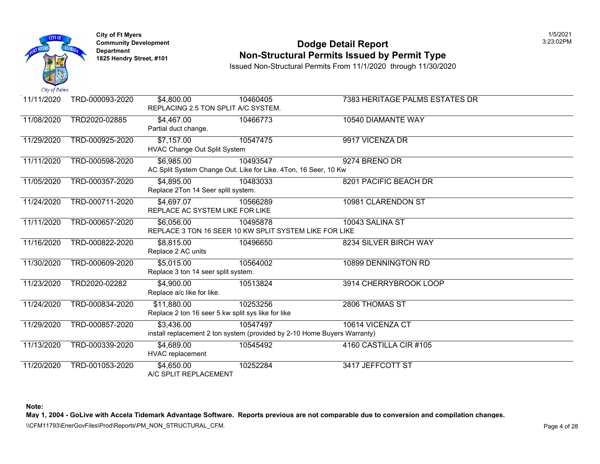

#### **Community Developm[ent](https://4,895.00) Dodge Detail Report** 3:23:02PM **Non-Structural Permits Issued by Permit Type**

Issued Non-Structural Permits From 11/1/2020 through 11/30/2020

| 11/11/2020 | TRD-000093-2020 | \$4,800.00<br>REPLACING 2.5 TON SPLIT A/C SYSTEM.                 | 10460405                                                                             | <b>7383 HERITAGE PALMS ESTATES</b> |
|------------|-----------------|-------------------------------------------------------------------|--------------------------------------------------------------------------------------|------------------------------------|
| 11/08/2020 | TRD2020-02885   | \$4,467.00<br>Partial duct change.                                | 10466773                                                                             | 10540 DIAMANTE WAY                 |
| 11/29/2020 | TRD-000925-2020 | \$7,157.00<br><b>HVAC Change Out Split System</b>                 | 10547475                                                                             | 9917 VICENZA DR                    |
| 11/11/2020 | TRD-000598-2020 | \$6,985.00                                                        | 10493547<br>AC Split System Change Out. Like for Like. 4Ton, 16 Seer, 10 Kw          | 9274 BRENO DR                      |
| 11/05/2020 | TRD-000357-2020 | \$4,895.00<br>Replace 2Ton 14 Seer split system.                  | 10483033                                                                             | 8201 PACIFIC BEACH DR              |
| 11/24/2020 | TRD-000711-2020 | \$4,697.07<br>REPLACE AC SYSTEM LIKE FOR LIKE                     | 10566289                                                                             | 10981 CLARENDON ST                 |
| 11/11/2020 | TRD-000657-2020 | \$6,056.00                                                        | 10495878<br>REPLACE 3 TON 16 SEER 10 KW SPLIT SYSTEM LIKE FOR LIKE                   | 10043 SALINA ST                    |
| 11/16/2020 | TRD-000822-2020 | \$8,815.00<br>Replace 2 AC units                                  | 10496650                                                                             | 8234 SILVER BIRCH WAY              |
| 11/30/2020 | TRD-000609-2020 | \$5,015.00<br>Replace 3 ton 14 seer split system.                 | 10564002                                                                             | 10899 DENNINGTON RD                |
| 11/23/2020 | TRD2020-02282   | \$4,900.00<br>Replace a/c like for like.                          | 10513824                                                                             | 3914 CHERRYBROOK LOOP              |
| 11/24/2020 | TRD-000834-2020 | \$11,880.00<br>Replace 2 ton 16 seer 5 kw split sys like for like | 10253256                                                                             | 2806 THOMAS ST                     |
| 11/29/2020 | TRD-000857-2020 | \$3,436.00                                                        | 10547497<br>install replacement 2 ton system (provided by 2-10 Home Buyers Warranty) | 10614 VICENZA CT                   |
| 11/13/2020 | TRD-000339-2020 | \$4,689.00<br>HVAC replacement                                    | 10545492                                                                             | 4160 CASTILLA CIR #105             |
| 11/20/2020 | TRD-001053-2020 | \$4,650.00<br>A/C SPLIT REPLACEMENT                               | 10252284                                                                             | 3417 JEFFCOTT ST                   |

**Note:**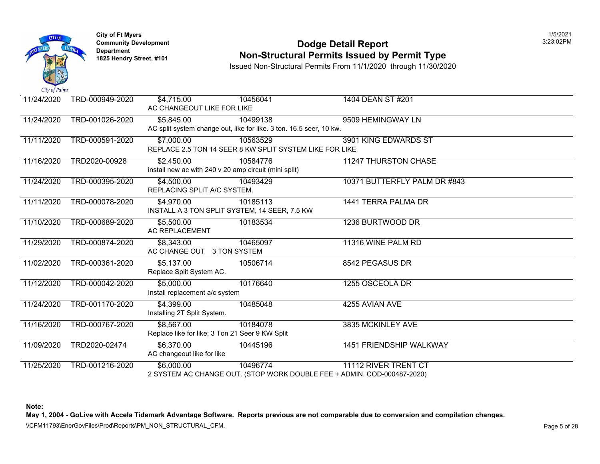

# **Community Developm[ent](https://4,500.00) Dodge Detail Report** 3:23:02PM **Non-Structural Permits Issued by Permit Type**

Issued Non-Structural Permits From 11/1/2020 through 11/30/2020

| 11/24/2020 | TRD-000949-2020 | \$4,715.00<br>AC CHANGEOUT LIKE FOR LIKE              | 10456041                                                                | 1404 DEAN ST #201              |
|------------|-----------------|-------------------------------------------------------|-------------------------------------------------------------------------|--------------------------------|
| 11/24/2020 | TRD-001026-2020 | \$5,845.00                                            | 10499138                                                                | 9509 HEMINGWAY LN              |
|            |                 |                                                       | AC split system change out, like for like. 3 ton. 16.5 seer, 10 kw.     |                                |
| 11/11/2020 | TRD-000591-2020 | \$7,000.00                                            | 10563529                                                                | 3901 KING EDWARDS ST           |
|            |                 |                                                       | REPLACE 2.5 TON 14 SEER 8 KW SPLIT SYSTEM LIKE FOR LIKE                 |                                |
| 11/16/2020 | TRD2020-00928   | \$2,450.00                                            | 10584776                                                                | <b>11247 THURSTON CHASE</b>    |
|            |                 | install new ac with 240 v 20 amp circuit (mini split) |                                                                         |                                |
| 11/24/2020 | TRD-000395-2020 | \$4,500.00                                            | 10493429                                                                | 10371 BUTTERFLY PALM DR #843   |
|            |                 | REPLACING SPLIT A/C SYSTEM.                           |                                                                         |                                |
| 11/11/2020 | TRD-000078-2020 | \$4,970.00                                            | 10185113                                                                | 1441 TERRA PALMA DR            |
|            |                 | INSTALL A 3 TON SPLIT SYSTEM, 14 SEER, 7.5 KW         |                                                                         |                                |
| 11/10/2020 | TRD-000689-2020 | \$5,500.00                                            | 10183534                                                                | 1236 BURTWOOD DR               |
|            |                 | <b>AC REPLACEMENT</b>                                 |                                                                         |                                |
| 11/29/2020 | TRD-000874-2020 | \$8,343.00                                            | 10465097                                                                | 11316 WINE PALM RD             |
|            |                 | AC CHANGE OUT 3 TON SYSTEM                            |                                                                         |                                |
| 11/02/2020 | TRD-000361-2020 | \$5,137.00                                            | 10506714                                                                | 8542 PEGASUS DR                |
|            |                 | Replace Split System AC.                              |                                                                         |                                |
| 11/12/2020 | TRD-000042-2020 | \$5,000.00                                            | 10176640                                                                | 1255 OSCEOLA DR                |
|            |                 | Install replacement a/c system                        |                                                                         |                                |
| 11/24/2020 | TRD-001170-2020 | \$4,399.00                                            | 10485048                                                                | 4255 AVIAN AVE                 |
|            |                 | Installing 2T Split System.                           |                                                                         |                                |
| 11/16/2020 | TRD-000767-2020 | \$8,567.00                                            | 10184078                                                                | 3835 MCKINLEY AVE              |
|            |                 | Replace like for like; 3 Ton 21 Seer 9 KW Split       |                                                                         |                                |
| 11/09/2020 | TRD2020-02474   | \$6,370.00                                            | 10445196                                                                | <b>1451 FRIENDSHIP WALKWAY</b> |
|            |                 | AC changeout like for like                            |                                                                         |                                |
| 11/25/2020 | TRD-001216-2020 | \$6,000.00                                            | 10496774                                                                | 11112 RIVER TRENT CT           |
|            |                 |                                                       | 2 SYSTEM AC CHANGE OUT. (STOP WORK DOUBLE FEE + ADMIN. COD-000487-2020) |                                |

**Note:**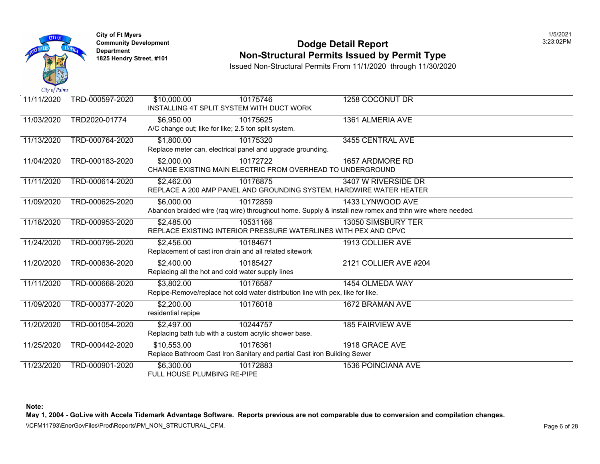

# **Community Development 2:23:02 PODGE Detail Report Non-Structural Permits Issued by Permit Type**

Issued Non-Structural Permits From 11/1/2020 through 11/30/2020

| 11/11/2020 | TRD-000597-2020 | \$10,000.00                                          | 10175746<br>INSTALLING 4T SPLIT SYSTEM WITH DUCT WORK                           | 1258 COCONUT DR                                                                                      |
|------------|-----------------|------------------------------------------------------|---------------------------------------------------------------------------------|------------------------------------------------------------------------------------------------------|
| 11/03/2020 | TRD2020-01774   | \$6,950.00                                           | 10175625                                                                        | 1361 ALMERIA AVE                                                                                     |
|            |                 | A/C change out; like for like; 2.5 ton split system. |                                                                                 |                                                                                                      |
| 11/13/2020 | TRD-000764-2020 | \$1,800.00                                           | 10175320                                                                        | 3455 CENTRAL AVE                                                                                     |
|            |                 |                                                      | Replace meter can, electrical panel and upgrade grounding.                      |                                                                                                      |
| 11/04/2020 | TRD-000183-2020 | \$2,000.00                                           | 10172722                                                                        | 1657 ARDMORE RD                                                                                      |
|            |                 |                                                      |                                                                                 | CHANGE EXISTING MAIN ELECTRIC FROM OVERHEAD TO UNDERGROUND                                           |
| 11/11/2020 | TRD-000614-2020 | \$2,462.00                                           | 10176875                                                                        | 3407 W RIVERSIDE DR                                                                                  |
|            |                 |                                                      |                                                                                 | REPLACE A 200 AMP PANEL AND GROUNDING SYSTEM, HARDWIRE WATER HEATER                                  |
| 11/09/2020 | TRD-000625-2020 | \$6,000.00                                           | 10172859                                                                        | 1433 LYNWOOD AVE                                                                                     |
|            |                 |                                                      |                                                                                 | Abandon braided wire (raq wire) throughout home. Supply & install new romex and thhn wire where need |
| 11/18/2020 | TRD-000953-2020 | \$2,485.00                                           | 10531166                                                                        | 13050 SIMSBURY TER                                                                                   |
|            |                 |                                                      |                                                                                 | REPLACE EXISTING INTERIOR PRESSURE WATERLINES WITH PEX AND CPVC                                      |
| 11/24/2020 | TRD-000795-2020 | \$2,456.00                                           | 10184671                                                                        | 1913 COLLIER AVE                                                                                     |
|            |                 |                                                      | Replacement of cast iron drain and all related sitework                         |                                                                                                      |
| 11/20/2020 | TRD-000636-2020 | \$2,400.00                                           | 10185427                                                                        | 2121 COLLIER AVE #204                                                                                |
|            |                 | Replacing all the hot and cold water supply lines    |                                                                                 |                                                                                                      |
| 11/11/2020 | TRD-000668-2020 | \$3,802.00                                           | 10176587                                                                        | 1454 OLMEDA WAY                                                                                      |
|            |                 |                                                      | Repipe-Remove/replace hot cold water distribution line with pex, like for like. |                                                                                                      |
| 11/09/2020 | TRD-000377-2020 | \$2,200.00                                           | 10176018                                                                        | 1672 BRAMAN AVE                                                                                      |
|            |                 | residential repipe                                   |                                                                                 |                                                                                                      |
| 11/20/2020 | TRD-001054-2020 | \$2,497.00                                           | 10244757                                                                        | <b>185 FAIRVIEW AVE</b>                                                                              |
|            |                 |                                                      | Replacing bath tub with a custom acrylic shower base.                           |                                                                                                      |
| 11/25/2020 | TRD-000442-2020 | \$10,553.00                                          | 10176361                                                                        | 1918 GRACE AVE                                                                                       |
|            |                 |                                                      | Replace Bathroom Cast Iron Sanitary and partial Cast iron Building Sewer        |                                                                                                      |
| 11/23/2020 | TRD-000901-2020 | \$6,300.00                                           | 10172883                                                                        | <b>1536 POINCIANA AVE</b>                                                                            |
|            |                 | FULL HOUSE PLUMBING RE-PIPE                          |                                                                                 |                                                                                                      |

**Note:**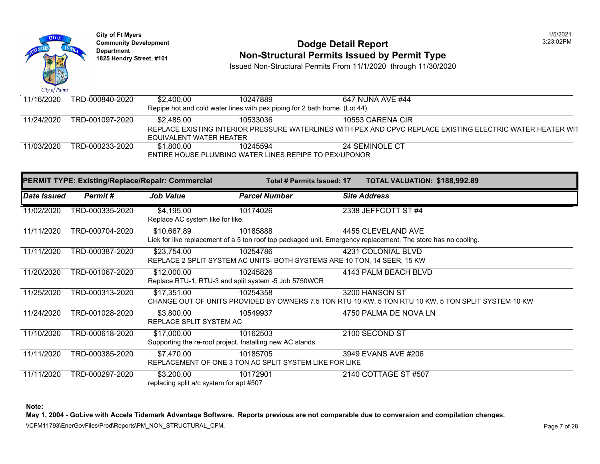

#### **Community Development 2:23:02 PODGE Detail Report 1825 Non-Structural Permits Issued by Permit Type**

Issued Non-Structural Permits From 11/1/2020 through 11/30/2020

| 11/16/2020 | TRD-000840-2020 | \$2,400.00                                                                     | 10247889 | 647 NUNA AVE #44      |  |  |  |
|------------|-----------------|--------------------------------------------------------------------------------|----------|-----------------------|--|--|--|
|            |                 | Repipe hot and cold water lines with pex piping for 2 bath home. (Lot 44)      |          |                       |  |  |  |
| 11/24/2020 | TRD-001097-2020 | \$2.485.00                                                                     | 10533036 | 10553 CARENA CIR      |  |  |  |
|            |                 | REPLACE EXISTING INTERIOR PRESSURE WATERLINES WITH PEX AND CPVC REPLACE EXISTI |          |                       |  |  |  |
|            |                 | EQUIVALENT WATER HEATER                                                        |          |                       |  |  |  |
| 11/03/2020 | TRD-000233-2020 | \$1,800.00                                                                     | 10245594 | <b>24 SEMINOLE CT</b> |  |  |  |
|            |                 | ENTIRE HOUSE PLUMBING WATER LINES REPIPE TO PEX/UPONOR                         |          |                       |  |  |  |

|                    | <b>PERMIT TYPE: Existing/Replace/Repair: Commercial</b> |                                                       | Total # Permits Issued: 17                                                                                          | <b>TOTAL VALUATION: \$188,99</b> |
|--------------------|---------------------------------------------------------|-------------------------------------------------------|---------------------------------------------------------------------------------------------------------------------|----------------------------------|
| <b>Date Issued</b> | Permit#                                                 | Job Value                                             | <b>Parcel Number</b>                                                                                                | <b>Site Address</b>              |
| 11/02/2020         | TRD-000335-2020                                         | \$4,195.00<br>Replace AC system like for like.        | 10174026                                                                                                            | 2338 JEFFCOTT ST #4              |
| 11/11/2020         | TRD-000704-2020                                         | \$10,667.89                                           | 10185888<br>Liek for like replacement of a 5 ton roof top packaged unit. Emergency replacement. The store has no co | 4455 CLEVELAND AVE               |
| 11/11/2020         | TRD-000387-2020                                         | \$23,754.00                                           | 10254786<br>REPLACE 2 SPLIT SYSTEM AC UNITS- BOTH SYSTEMS ARE 10 TON, 14 SEER, 15 KW                                | 4231 COLONIAL BLVD               |
| 11/20/2020         | TRD-001067-2020                                         | \$12,000.00                                           | 10245826<br>Replace RTU-1, RTU-3 and split system -5 Job 5750WCR                                                    | 4143 PALM BEACH BLVD             |
| 11/25/2020         | TRD-000313-2020                                         | \$17,351.00                                           | 10254358<br>CHANGE OUT OF UNITS PROVIDED BY OWNERS 7.5 TON RTU 10 KW, 5 TON RTU 10 KW, 5 TON \$                     | 3200 HANSON ST                   |
| 11/24/2020         | TRD-001028-2020                                         | \$3,800.00<br>REPLACE SPLIT SYSTEM AC                 | 10549937                                                                                                            | 4750 PALMA DE NOVA LN            |
| 11/10/2020         | TRD-000618-2020                                         | \$17,000.00                                           | 10162503<br>Supporting the re-roof project. Installing new AC stands.                                               | 2100 SECOND ST                   |
| 11/11/2020         | TRD-000385-2020                                         | \$7,470.00                                            | 10185705<br>REPLACEMENT OF ONE 3 TON AC SPLIT SYSTEM LIKE FOR LIKE                                                  | 3949 EVANS AVE #206              |
| 11/11/2020         | TRD-000297-2020                                         | \$3,200.00<br>replacing split a/c system for apt #507 | 10172901                                                                                                            | 2140 COTTAGE ST #507             |

**Note:**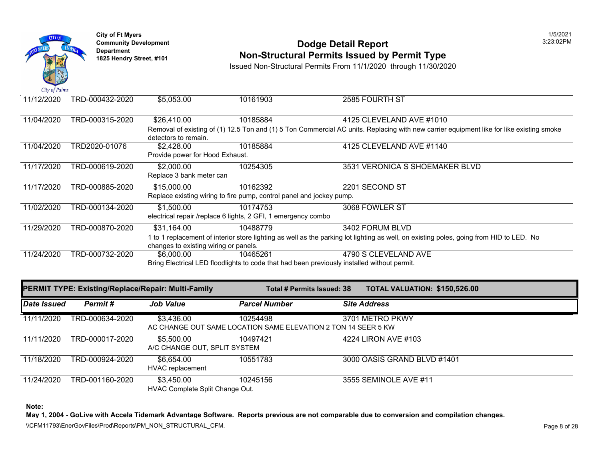

# **Community Development 2:23:02 PODGE Detail Report 1825 Non-Structural Permits Issued by Permit Type**

Issued Non-Structural Permits From 11/1/2020 through 11/30/2020

| 11/12/2020 | TRD-000432-2020 | \$5,053.00                                                                                              | 10161903                                                                                    | 2585 FOURTH ST                                                                                                   |  |  |  |
|------------|-----------------|---------------------------------------------------------------------------------------------------------|---------------------------------------------------------------------------------------------|------------------------------------------------------------------------------------------------------------------|--|--|--|
|            |                 |                                                                                                         |                                                                                             |                                                                                                                  |  |  |  |
| 11/04/2020 | TRD-000315-2020 | \$26,410.00                                                                                             | 10185884                                                                                    | 4125 CLEVELAND AVE #1010                                                                                         |  |  |  |
|            |                 | Removal of existing of (1) 12.5 Ton and (1) 5 Ton Commercial AC units. Replacing with new carrier equip |                                                                                             |                                                                                                                  |  |  |  |
|            |                 | detectors to remain.                                                                                    |                                                                                             |                                                                                                                  |  |  |  |
| 11/04/2020 | TRD2020-01076   | \$2,428.00                                                                                              | 10185884                                                                                    | 4125 CLEVELAND AVE #1140                                                                                         |  |  |  |
|            |                 | Provide power for Hood Exhaust.                                                                         |                                                                                             |                                                                                                                  |  |  |  |
| 11/17/2020 | TRD-000619-2020 | \$2,000.00                                                                                              | 10254305                                                                                    | 3531 VERONICA S SHOEMAKER E                                                                                      |  |  |  |
|            |                 | Replace 3 bank meter can                                                                                |                                                                                             |                                                                                                                  |  |  |  |
| 11/17/2020 | TRD-000885-2020 | \$15,000.00                                                                                             | 10162392                                                                                    | 2201 SECOND ST                                                                                                   |  |  |  |
|            |                 |                                                                                                         | Replace existing wiring to fire pump, control panel and jockey pump.                        |                                                                                                                  |  |  |  |
| 11/02/2020 | TRD-000134-2020 | \$1,500.00                                                                                              | 10174753                                                                                    | 3068 FOWLER ST                                                                                                   |  |  |  |
|            |                 |                                                                                                         | electrical repair /replace 6 lights, 2 GFI, 1 emergency combo                               |                                                                                                                  |  |  |  |
| 11/29/2020 | TRD-000870-2020 | \$31,164.00                                                                                             | 10488779                                                                                    | 3402 FORUM BLVD                                                                                                  |  |  |  |
|            |                 |                                                                                                         |                                                                                             | 1 to 1 replacement of interior store lighting as well as the parking lot lighting as well, on existing poles, go |  |  |  |
|            |                 | changes to existing wiring or panels.                                                                   |                                                                                             |                                                                                                                  |  |  |  |
| 11/24/2020 | TRD-000732-2020 | \$6,000,00                                                                                              | 10465261                                                                                    | 4790 S CLEVELAND AVE                                                                                             |  |  |  |
|            |                 |                                                                                                         | Bring Electrical LED floodlights to code that had been previously installed without permit. |                                                                                                                  |  |  |  |

|             |                 | PERMIT TYPE: Existing/Replace/Repair: Multi-Family |                                                                           | Total # Permits Issued: 38 | <b>TOTAL VALUATION: \$150,52</b> |  |
|-------------|-----------------|----------------------------------------------------|---------------------------------------------------------------------------|----------------------------|----------------------------------|--|
| Date Issued | Permit#         | <b>Job Value</b>                                   | <b>Parcel Number</b>                                                      |                            | <b>Site Address</b>              |  |
| 11/11/2020  | TRD-000634-2020 | \$3,436.00                                         | 10254498<br>AC CHANGE OUT SAME LOCATION SAME ELEVATION 2 TON 14 SEER 5 KW |                            | 3701 METRO PKWY                  |  |
| 11/11/2020  | TRD-000017-2020 | \$5,500,00<br>A/C CHANGE OUT, SPLIT SYSTEM         | 10497421                                                                  |                            | 4224 LIRON AVE #103              |  |
| 11/18/2020  | TRD-000924-2020 | \$6.654.00<br><b>HVAC</b> replacement              | 10551783                                                                  |                            | 3000 OASIS GRAND BLVD #1401      |  |
| 11/24/2020  | TRD-001160-2020 | \$3,450.00<br>HVAC Complete Split Change Out.      | 10245156                                                                  |                            | 3555 SEMINOLE AVE #11            |  |

**Note:**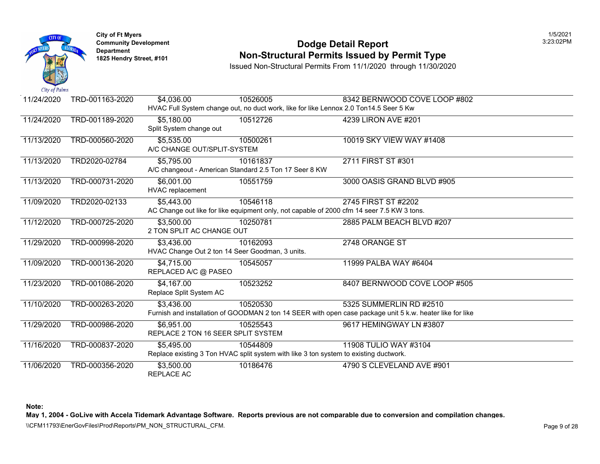

#### **Community Development 2:23:02 PODGE Detail Report Non-Structural Permits Issued by Permit Type**

Issued Non-Structural Permits From 11/1/2020 through 11/30/2020

| 11/24/2020 | TRD-001163-2020 | \$4,036.00                                      | 10526005                                                                                   | 8342 BERNWOOD COVE LOOP #8                                                                           |
|------------|-----------------|-------------------------------------------------|--------------------------------------------------------------------------------------------|------------------------------------------------------------------------------------------------------|
|            |                 |                                                 | HVAC Full System change out, no duct work, like for like Lennox 2.0 Ton14.5 Seer 5 Kw      |                                                                                                      |
| 11/24/2020 | TRD-001189-2020 | \$5,180.00                                      | 10512726                                                                                   | 4239 LIRON AVE #201                                                                                  |
|            |                 | Split System change out                         |                                                                                            |                                                                                                      |
| 11/13/2020 | TRD-000560-2020 | \$5,535.00                                      | 10500261                                                                                   | 10019 SKY VIEW WAY #1408                                                                             |
|            |                 | A/C CHANGE OUT/SPLIT-SYSTEM                     |                                                                                            |                                                                                                      |
| 11/13/2020 | TRD2020-02784   | \$5,795.00                                      | 10161837                                                                                   | 2711 FIRST ST #301                                                                                   |
|            |                 |                                                 | A/C changeout - American Standard 2.5 Ton 17 Seer 8 KW                                     |                                                                                                      |
| 11/13/2020 | TRD-000731-2020 | \$6,001.00                                      | 10551759                                                                                   | 3000 OASIS GRAND BLVD #905                                                                           |
|            |                 | <b>HVAC</b> replacement                         |                                                                                            |                                                                                                      |
| 11/09/2020 | TRD2020-02133   | \$5,443.00                                      | 10546118                                                                                   | 2745 FIRST ST #2202                                                                                  |
|            |                 |                                                 | AC Change out like for like equipment only, not capable of 2000 cfm 14 seer 7.5 KW 3 tons. |                                                                                                      |
| 11/12/2020 | TRD-000725-2020 | \$3,500.00                                      | 10250781                                                                                   | 2885 PALM BEACH BLVD #207                                                                            |
|            |                 | 2 TON SPLIT AC CHANGE OUT                       |                                                                                            |                                                                                                      |
| 11/29/2020 | TRD-000998-2020 | \$3,436.00                                      | 10162093                                                                                   | 2748 ORANGE ST                                                                                       |
|            |                 | HVAC Change Out 2 ton 14 Seer Goodman, 3 units. |                                                                                            |                                                                                                      |
| 11/09/2020 | TRD-000136-2020 | \$4,715.00                                      | 10545057                                                                                   | 11999 PALBA WAY #6404                                                                                |
|            |                 | REPLACED A/C @ PASEO                            |                                                                                            |                                                                                                      |
| 11/23/2020 | TRD-001086-2020 | \$4,167.00                                      | 10523252                                                                                   | 8407 BERNWOOD COVE LOOP #5                                                                           |
|            |                 | Replace Split System AC                         |                                                                                            |                                                                                                      |
| 11/10/2020 | TRD-000263-2020 | \$3,436.00                                      | 10520530                                                                                   | 5325 SUMMERLIN RD #2510                                                                              |
|            |                 |                                                 |                                                                                            | Furnish and installation of GOODMAN 2 ton 14 SEER with open case package unit 5 k.w. heater like for |
| 11/29/2020 | TRD-000986-2020 | \$6,951.00                                      | 10525543                                                                                   | 9617 HEMINGWAY LN #3807                                                                              |
|            |                 | REPLACE 2 TON 16 SEER SPLIT SYSTEM              |                                                                                            |                                                                                                      |
| 11/16/2020 | TRD-000837-2020 | \$5,495.00                                      | 10544809                                                                                   | 11908 TULIO WAY #3104                                                                                |
|            |                 |                                                 | Replace existing 3 Ton HVAC split system with like 3 ton system to existing ductwork.      |                                                                                                      |
| 11/06/2020 | TRD-000356-2020 | \$3,500.00                                      | 10186476                                                                                   | 4790 S CLEVELAND AVE #901                                                                            |
|            |                 | REPLACE AC                                      |                                                                                            |                                                                                                      |

**Note:**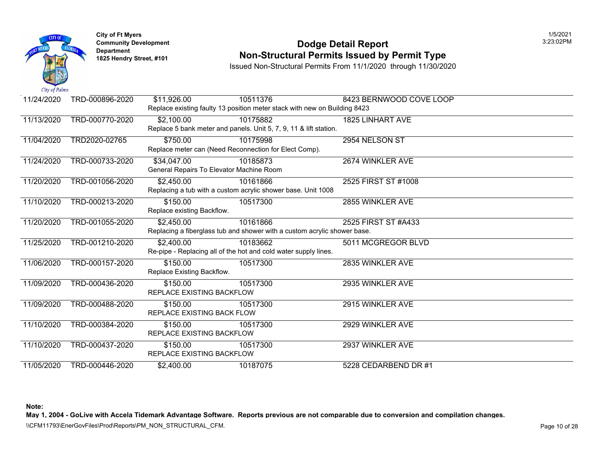

#### **Community Developm[ent](https://2,450.00) Dodge Detail Report** 3:23:02PM **Non-Structural Permits Issued by Permit Type**

Issued Non-Structural Permits From 11/1/2020 through 11/30/2020

| 11/24/2020 | TRD-000896-2020 | \$11,926.00                              | 10511376                                                                  | 8423 BERNWOOD COVE LOOP |
|------------|-----------------|------------------------------------------|---------------------------------------------------------------------------|-------------------------|
|            |                 |                                          | Replace existing faulty 13 position meter stack with new on Building 8423 |                         |
| 11/13/2020 | TRD-000770-2020 | \$2,100.00                               | 10175882                                                                  | 1825 LINHART AVE        |
|            |                 |                                          | Replace 5 bank meter and panels. Unit 5, 7, 9, 11 & lift station.         |                         |
| 11/04/2020 | TRD2020-02765   | \$750.00                                 | 10175998                                                                  | 2954 NELSON ST          |
|            |                 |                                          | Replace meter can (Need Reconnection for Elect Comp).                     |                         |
| 11/24/2020 | TRD-000733-2020 | \$34,047.00                              | 10185873                                                                  | 2674 WINKLER AVE        |
|            |                 | General Repairs To Elevator Machine Room |                                                                           |                         |
| 11/20/2020 | TRD-001056-2020 | \$2,450.00                               | 10161866                                                                  | 2525 FIRST ST #1008     |
|            |                 |                                          | Replacing a tub with a custom acrylic shower base. Unit 1008              |                         |
| 11/10/2020 | TRD-000213-2020 | \$150.00                                 | 10517300                                                                  | 2855 WINKLER AVE        |
|            |                 | Replace existing Backflow.               |                                                                           |                         |
| 11/20/2020 | TRD-001055-2020 | \$2,450.00                               | 10161866                                                                  | 2525 FIRST ST #A433     |
|            |                 |                                          | Replacing a fiberglass tub and shower with a custom acrylic shower base.  |                         |
| 11/25/2020 | TRD-001210-2020 | \$2,400.00                               | 10183662                                                                  | 5011 MCGREGOR BLVD      |
|            |                 |                                          | Re-pipe - Replacing all of the hot and cold water supply lines.           |                         |
| 11/06/2020 | TRD-000157-2020 | \$150.00                                 | 10517300                                                                  | 2835 WINKLER AVE        |
|            |                 | Replace Existing Backflow.               |                                                                           |                         |
| 11/09/2020 | TRD-000436-2020 | \$150.00                                 | 10517300                                                                  | 2935 WINKLER AVE        |
|            |                 | <b>REPLACE EXISTING BACKFLOW</b>         |                                                                           |                         |
| 11/09/2020 | TRD-000488-2020 | \$150.00                                 | 10517300                                                                  | 2915 WINKLER AVE        |
|            |                 | REPLACE EXISTING BACK FLOW               |                                                                           |                         |
| 11/10/2020 | TRD-000384-2020 | \$150.00                                 | 10517300                                                                  | 2929 WINKLER AVE        |
|            |                 | <b>REPLACE EXISTING BACKFLOW</b>         |                                                                           |                         |
| 11/10/2020 | TRD-000437-2020 | \$150.00                                 | 10517300                                                                  | 2937 WINKLER AVE        |
|            |                 | REPLACE EXISTING BACKFLOW                |                                                                           |                         |
| 11/05/2020 | TRD-000446-2020 | \$2,400.00                               | 10187075                                                                  | 5228 CEDARBEND DR #1    |

**Note:**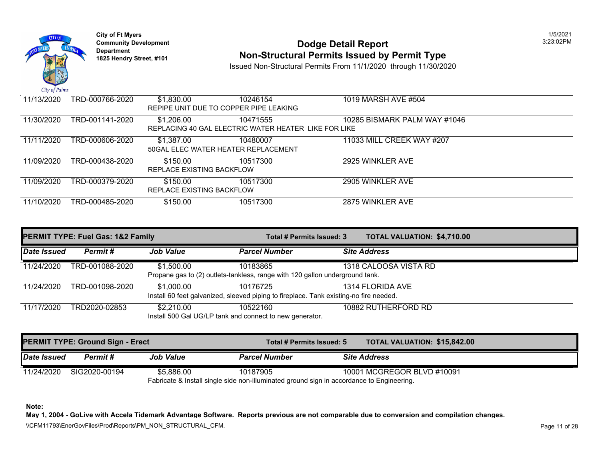

# **Community Development 2:23:02 PODGE Detail Report 1825 Non-Structural Permits Issued by Permit Type**

Issued Non-Structural Permits From 11/1/2020 through 11/30/2020

| 11/13/2020 | TRD-000766-2020 | \$1,830.00                | 10246154                                             | 1019 MARSH AVE #504          |
|------------|-----------------|---------------------------|------------------------------------------------------|------------------------------|
|            |                 |                           | REPIPE UNIT DUE TO COPPER PIPE LEAKING               |                              |
| 11/30/2020 | TRD-001141-2020 | \$1,206.00                | 10471555                                             | 10285 BISMARK PALM WAY #1046 |
|            |                 |                           | REPLACING 40 GAL ELECTRIC WATER HEATER LIKE FOR LIKE |                              |
| 11/11/2020 | TRD-000606-2020 | \$1,387.00                | 10480007                                             | 11033 MILL CREEK WAY #207    |
|            |                 |                           | 50 GAL ELEC WATER HEATER REPLACEMENT                 |                              |
| 11/09/2020 | TRD-000438-2020 | \$150.00                  | 10517300                                             | 2925 WINKLER AVE             |
|            |                 | REPLACE EXISTING BACKFLOW |                                                      |                              |
| 11/09/2020 | TRD-000379-2020 | \$150.00                  | 10517300                                             | 2905 WINKLER AVE             |
|            |                 | REPLACE EXISTING BACKFLOW |                                                      |                              |
| 11/10/2020 | TRD-000485-2020 | \$150.00                  | 10517300                                             | 2875 WINKLER AVE             |
|            |                 |                           |                                                      |                              |

|             | <b>PERMIT TYPE: Fuel Gas: 1&amp;2 Family</b> |                  |                                                                                                    | <b>TOTAL VALUATION: \$4,710.0</b><br>Total # Permits Issued: 3 |                       |  |
|-------------|----------------------------------------------|------------------|----------------------------------------------------------------------------------------------------|----------------------------------------------------------------|-----------------------|--|
| Date Issued | <b>Permit #</b>                              | <b>Job Value</b> | <b>Parcel Number</b>                                                                               |                                                                | <b>Site Address</b>   |  |
| 11/24/2020  | TRD-001088-2020                              | \$1,500.00       | 10183865<br>Propane gas to (2) outlets-tankless, range with 120 gallon underground tank.           |                                                                | 1318 CALOOSA VISTA RD |  |
| 11/24/2020  | TRD-001098-2020                              | \$1,000.00       | 10176725<br>Install 60 feet galvanized, sleeved piping to fireplace. Tank existing-no fire needed. |                                                                | 1314 FLORIDA AVE      |  |
| 11/17/2020  | TRD2020-02853                                | \$2,210.00       | 10522160<br>Install 500 Gal UG/LP tank and connect to new generator.                               |                                                                | 10882 RUTHERFORD RD   |  |

|             | <b>PERMIT TYPE: Ground Sign - Erect</b> |                  | Total # Permits Issued: 5                                                                 |                     | <b>TOTAL VALUATION: \$15,842</b> |
|-------------|-----------------------------------------|------------------|-------------------------------------------------------------------------------------------|---------------------|----------------------------------|
| Date Issued | Permit #                                | <b>Job Value</b> | <b>Parcel Number</b>                                                                      | <b>Site Address</b> |                                  |
| 11/24/2020  | SIG2020-00194                           | \$5.886.00       | 10187905                                                                                  |                     | 10001 MCGREGOR BLVD #10091       |
|             |                                         |                  | Fabricate & Install single side non-illuminated ground sign in accordance to Engineering. |                     |                                  |

**Note:**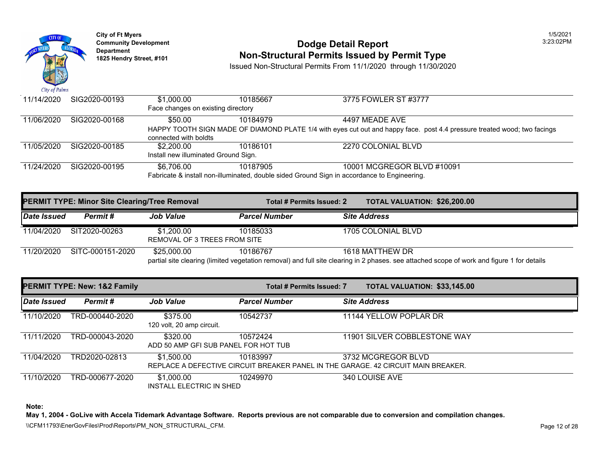

# **Community Development 2:23:02 PODGE Detail Report 1825 Non-Structural Permits Issued by Permit Type**

Issued Non-Structural Permits From 11/1/2020 through 11/30/2020

| 11/14/2020 | SIG2020-00193 | \$1,000.00                                                                                  | 10185667 | 3775 FOWLER ST #3777                                                                       |  |  |  |
|------------|---------------|---------------------------------------------------------------------------------------------|----------|--------------------------------------------------------------------------------------------|--|--|--|
|            |               | Face changes on existing directory                                                          |          |                                                                                            |  |  |  |
| 11/06/2020 | SIG2020-00168 | \$50.00                                                                                     | 10184979 | 4497 MEADE AVE                                                                             |  |  |  |
|            |               |                                                                                             |          | HAPPY TOOTH SIGN MADE OF DIAMOND PLATE 1/4 with eyes cut out and happy face. post 4.4 pres |  |  |  |
|            |               | connected with boldts                                                                       |          |                                                                                            |  |  |  |
| 11/05/2020 | SIG2020-00185 | \$2,200.00                                                                                  | 10186101 | 2270 COLONIAL BLVD                                                                         |  |  |  |
|            |               | Install new illuminated Ground Sign.                                                        |          |                                                                                            |  |  |  |
| 11/24/2020 | SIG2020-00195 | \$6.706.00                                                                                  | 10187905 | 10001 MCGREGOR BLVD #10091                                                                 |  |  |  |
|            |               | Fabricate & install non-illuminated, double sided Ground Sign in accordance to Engineering. |          |                                                                                            |  |  |  |

|             | <b>PERMIT TYPE: Minor Site Clearing/Tree Removal</b> |                                            | Total # Permits Issued: 2                                                                                                  | <b>TOTAL VALUATION: \$26,200</b> |  |
|-------------|------------------------------------------------------|--------------------------------------------|----------------------------------------------------------------------------------------------------------------------------|----------------------------------|--|
| Date Issued | Permit#                                              | <b>Job Value</b>                           | <b>Parcel Number</b>                                                                                                       | <b>Site Address</b>              |  |
| 11/04/2020  | SIT2020-00263                                        | \$1.200.00<br>REMOVAL OF 3 TREES FROM SITE | 10185033                                                                                                                   | 1705 COLONIAL BLVD               |  |
| 11/20/2020  | SITC-000151-2020                                     | \$25,000.00                                | 10186767<br>partial site clearing (limited vegetation removal) and full site clearing in 2 phases. see attached scope of v | 1618 MATTHEW DR                  |  |

|             | <b>PERMIT TYPE: New: 1&amp;2 Family</b> |                                                  | <b>Total # Permits Issued: 7</b> | <b>TOTAL VALUATION: \$33,145</b>                                                                       |
|-------------|-----------------------------------------|--------------------------------------------------|----------------------------------|--------------------------------------------------------------------------------------------------------|
| Date Issued | Permit#                                 | <b>Job Value</b>                                 | <b>Parcel Number</b>             | <b>Site Address</b>                                                                                    |
| 11/10/2020  | TRD-000440-2020                         | \$375.00<br>120 volt, 20 amp circuit.            | 10542737                         | 11144 YELLOW POPLAR DR                                                                                 |
| 11/11/2020  | TRD-000043-2020                         | \$320.00<br>ADD 50 AMP GFI SUB PANEL FOR HOT TUB | 10572424                         | 11901 SILVER COBBLESTONE WA                                                                            |
| 11/04/2020  | TRD2020-02813                           | \$1,500.00                                       | 10183997                         | 3732 MCGREGOR BLVD<br>REPLACE A DEFECTIVE CIRCUIT BREAKER PANEL IN THE GARAGE. 42 CIRCUIT MAIN BREAKER |
| 11/10/2020  | TRD-000677-2020                         | \$1,000.00<br><b>INSTALL ELECTRIC IN SHED</b>    | 10249970                         | 340 LOUISE AVE                                                                                         |

**Note:**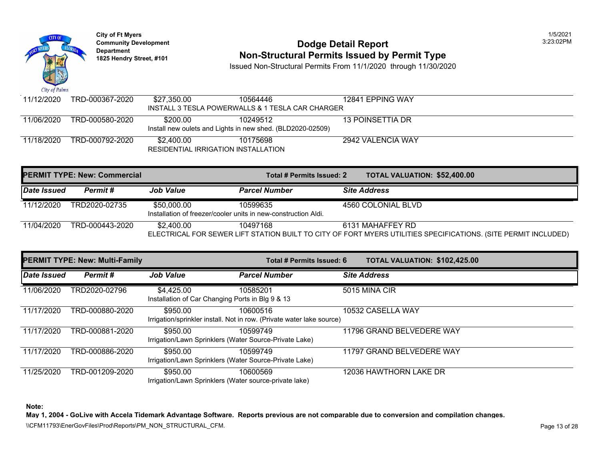

# **Community Development 2:23:02 PODGE Detail Report 1825 Non-Structural Permits Issued by Permit Type**

Issued Non-Structural Permits From 11/1/2020 through 11/30/2020

| 11/12/2020 | TRD-000367-2020 | \$27.350.00 | 10564446                                                   | 12841 EPPING WAY  |  |
|------------|-----------------|-------------|------------------------------------------------------------|-------------------|--|
|            |                 |             | INSTALL 3 TESLA POWERWALLS & 1 TESLA CAR CHARGER           |                   |  |
| 11/06/2020 | TRD-000580-2020 | \$200.00    | 10249512                                                   | 13 POINSETTIA DR  |  |
|            |                 |             | Install new oulets and Lights in new shed. (BLD2020-02509) |                   |  |
| 11/18/2020 | TRD-000792-2020 | \$2.400.00  | 10175698                                                   | 2942 VALENCIA WAY |  |
|            |                 |             | RESIDENTIAL IRRIGATION INSTALLATION                        |                   |  |

|             | <b>PERMIT TYPE: New: Commercial</b> |                                                                               | Total # Permits Issued: 2                                                                      | <b>TOTAL VALUATION: \$52,400</b> |  |
|-------------|-------------------------------------|-------------------------------------------------------------------------------|------------------------------------------------------------------------------------------------|----------------------------------|--|
| Date Issued | Permit #                            | <b>Job Value</b>                                                              | <b>Parcel Number</b>                                                                           | <b>Site Address</b>              |  |
| 11/12/2020  | TRD2020-02735                       | \$50,000.00<br>Installation of freezer/cooler units in new-construction Aldi. | 10599635                                                                                       | 4560 COLONIAL BLVD               |  |
| 11/04/2020  | TRD-000443-2020                     | \$2,400.00                                                                    | 10497168<br>ELECTRICAL FOR SEWER LIFT STATION BUILT TO CITY OF FORT MYERS UTILITIES SPECIFICAT | 6131 MAHAFFEY RD                 |  |

|             | <b>PERMIT TYPE: New: Multi-Family</b> |                                                                | Total # Permits Issued: 6                                                         | <b>TOTAL VALUATION: \$102,42</b> |
|-------------|---------------------------------------|----------------------------------------------------------------|-----------------------------------------------------------------------------------|----------------------------------|
| Date Issued | Permit#                               | <b>Job Value</b>                                               | <b>Parcel Number</b>                                                              | <b>Site Address</b>              |
| 11/06/2020  | TRD2020-02796                         | \$4.425.00<br>Installation of Car Changing Ports in Blg 9 & 13 | 10585201                                                                          | 5015 MINA CIR                    |
| 11/17/2020  | TRD-000880-2020                       | \$950.00                                                       | 10600516<br>Irrigation/sprinkler install. Not in row. (Private water lake source) | 10532 CASELLA WAY                |
| 11/17/2020  | TRD-000881-2020                       | \$950.00                                                       | 10599749<br>Irrigation/Lawn Sprinklers (Water Source-Private Lake)                | 11796 GRAND BELVEDERE WAY        |
| 11/17/2020  | TRD-000886-2020                       | \$950.00                                                       | 10599749<br>Irrigation/Lawn Sprinklers (Water Source-Private Lake)                | 11797 GRAND BELVEDERE WAY        |
| 11/25/2020  | TRD-001209-2020                       | \$950.00                                                       | 10600569<br>Irrigation/Lawn Sprinklers (Water source-private lake)                | 12036 HAWTHORN LAKE DR           |

**Note:**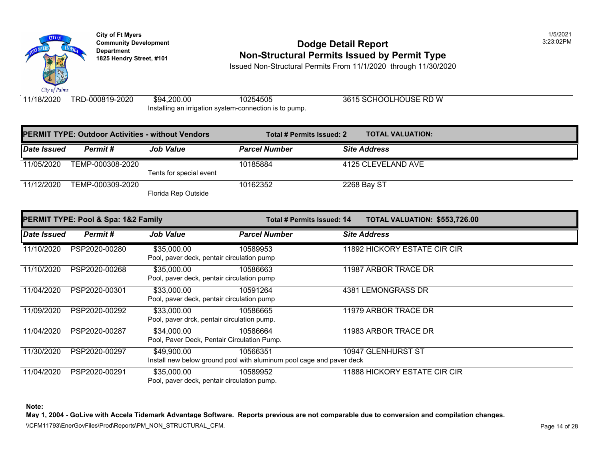

# **Community Development 2:23:02 PODGE Detail Report Non-Structural Permits Issued by Permit Type**

Issued Non-Structural Permits From 11/1/2020 through 11/30/2020

11/18/2020 TRD-000819-2020 \$94,200.00 10254505 3615 SCHOOLHOUSE RD W Ins[talling an irr](https://35,000.00)igation system-connection is to pump.

|             | <b>PERMIT TYPE: Outdoor Activities - without Vendors</b> |                         | Total # Permits Issued: 2 | <b>TOTAL VALUATION:</b> |
|-------------|----------------------------------------------------------|-------------------------|---------------------------|-------------------------|
| Date Issued | Permit #                                                 | <b>Job Value</b>        | <b>Parcel Number</b>      | <b>Site Address</b>     |
| 11/05/2020  | TEMP-000308-2020                                         |                         | 10185884                  | 4125 CLEVELAND AVE      |
|             |                                                          | Tents for special event |                           |                         |
| 11/12/2020  | TEMP-000309-2020                                         |                         | 10162352                  | 2268 Bay ST             |
|             |                                                          | Florida Rep Outside     |                           |                         |

|                    | PERMIT TYPE: Pool & Spa: 1&2 Family |                                             | Total # Permits Issued: 14                                           | <b>TOTAL VALUATION: \$553,72</b> |
|--------------------|-------------------------------------|---------------------------------------------|----------------------------------------------------------------------|----------------------------------|
| <b>Date Issued</b> | Permit #                            | <b>Job Value</b>                            | <b>Parcel Number</b>                                                 | <b>Site Address</b>              |
| 11/10/2020         | PSP2020-00280                       | \$35,000.00                                 | 10589953                                                             | 11892 HICKORY ESTATE CIR CIR     |
|                    |                                     | Pool, paver deck, pentair circulation pump  |                                                                      |                                  |
| 11/10/2020         | PSP2020-00268                       | \$35,000.00                                 | 10586663                                                             | 11987 ARBOR TRACE DR             |
|                    |                                     | Pool, paver deck, pentair circulation pump  |                                                                      |                                  |
| 11/04/2020         | PSP2020-00301                       | \$33,000.00                                 | 10591264                                                             | 4381 LEMONGRASS DR               |
|                    |                                     | Pool, paver deck, pentair circulation pump  |                                                                      |                                  |
| 11/09/2020         | PSP2020-00292                       | \$33,000.00                                 | 10586665                                                             | 11979 ARBOR TRACE DR             |
|                    |                                     | Pool, paver drck, pentair circulation pump. |                                                                      |                                  |
| 11/04/2020         | PSP2020-00287                       | \$34,000.00                                 | 10586664                                                             | 11983 ARBOR TRACE DR             |
|                    |                                     |                                             | Pool, Paver Deck, Pentair Circulation Pump.                          |                                  |
| 11/30/2020         | PSP2020-00297                       | \$49,900.00                                 | 10566351                                                             | 10947 GLENHURST ST               |
|                    |                                     |                                             | Install new below ground pool with aluminum pool cage and paver deck |                                  |
| 11/04/2020         | PSP2020-00291                       | \$35,000.00                                 | 10589952                                                             | 11888 HICKORY ESTATE CIR CIR     |
|                    |                                     | Pool, paver deck, pentair circulation pump. |                                                                      |                                  |

**Note:**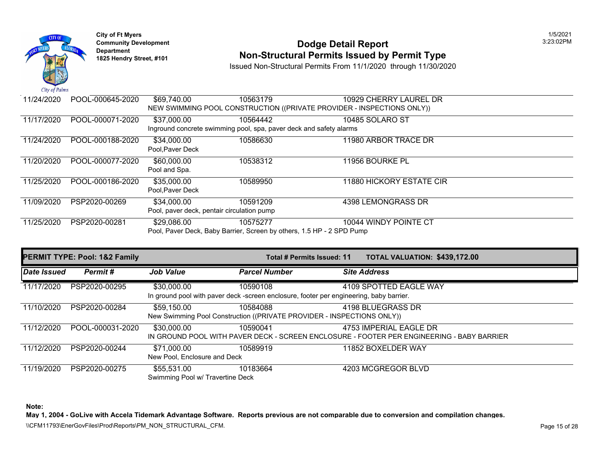

# **Community Development 2:23:02 PODGE Detail Report 1825 Non-Structural Permits Issued by Permit Type**

Issued Non-Structural Permits From 11/1/2020 through 11/30/2020

| 11/24/2020 | POOL-000645-2020 | \$69,740.00      | 10563179                                                              | 10929 CHERRY LAUREL DR                                                 |
|------------|------------------|------------------|-----------------------------------------------------------------------|------------------------------------------------------------------------|
|            |                  |                  |                                                                       | NEW SWIMMING POOL CONSTRUCTION ((PRIVATE PROVIDER - INSPECTIONS ONLY)) |
| 11/17/2020 | POOL-000071-2020 | \$37,000.00      | 10564442                                                              | 10485 SOLARO ST                                                        |
|            |                  |                  | Inground concrete swimming pool, spa, paver deck and safety alarms    |                                                                        |
| 11/24/2020 | POOL-000188-2020 | \$34,000.00      | 10586630                                                              | 11980 ARBOR TRACE DR                                                   |
|            |                  | Pool.Paver Deck  |                                                                       |                                                                        |
| 11/20/2020 | POOL-000077-2020 | \$60,000.00      | 10538312                                                              | 11956 BOURKE PL                                                        |
|            |                  | Pool and Spa.    |                                                                       |                                                                        |
| 11/25/2020 | POOL-000186-2020 | \$35,000.00      | 10589950                                                              | 11880 HICKORY ESTATE CIR                                               |
|            |                  | Pool, Paver Deck |                                                                       |                                                                        |
| 11/09/2020 | PSP2020-00269    | \$34,000.00      | 10591209                                                              | 4398 LEMONGRASS DR                                                     |
|            |                  |                  | Pool, paver deck, pentair circulation pump                            |                                                                        |
| 11/25/2020 | PSP2020-00281    | \$29,086.00      | 10575277                                                              | 10044 WINDY POINTE CT                                                  |
|            |                  |                  | Pool, Paver Deck, Baby Barrier, Screen by others, 1.5 HP - 2 SPD Pump |                                                                        |

|             | <b>PERMIT TYPE: Pool: 1&amp;2 Family</b> |                                                 |                                                                                                     | Total # Permits Issued: 11 |                        |
|-------------|------------------------------------------|-------------------------------------------------|-----------------------------------------------------------------------------------------------------|----------------------------|------------------------|
| Date Issued | Permit#                                  | <b>Job Value</b>                                | <b>Parcel Number</b>                                                                                |                            | <b>Site Address</b>    |
| 11/17/2020  | PSP2020-00295                            | \$30,000.00                                     | 10590108<br>In ground pool with paver deck -screen enclosure, footer per engineering, baby barrier. |                            | 4109 SPOTTED EAGLE WAY |
| 11/10/2020  | PSP2020-00284                            | \$59,150.00                                     | 10584088<br>New Swimming Pool Construction ((PRIVATE PROVIDER - INSPECTIONS ONLY))                  |                            | 4198 BLUEGRASS DR      |
| 11/12/2020  | POOL-000031-2020                         | \$30,000.00                                     | 10590041<br>IN GROUND POOL WITH PAVER DECK - SCREEN ENCLOSURE - FOOTER PER ENGINEERING - B          |                            | 4753 IMPERIAL EAGLE DR |
| 11/12/2020  | PSP2020-00244                            | \$71,000.00<br>New Pool, Enclosure and Deck     | 10589919                                                                                            |                            | 11852 BOXELDER WAY     |
| 11/19/2020  | PSP2020-00275                            | \$55,531.00<br>Swimming Pool w/ Travertine Deck | 10183664                                                                                            |                            | 4203 MCGREGOR BLVD     |

**Note:**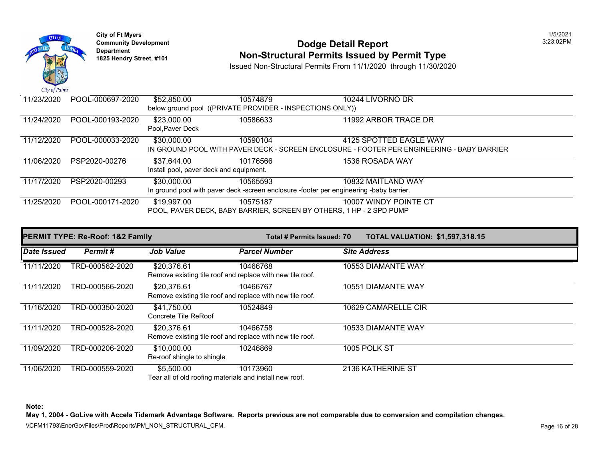

#### **Community Development 2:23:02 PODGE Detail Report 1825 Non-Structural Permits Issued by Permit Type**

Issued Non-Structural Permits From 11/1/2020 through 11/30/2020

| 11/23/2020 | POOL-000697-2020 | \$52,850.00     | 10574879                                                  | 10244 LIVORNO DR                                                                        |
|------------|------------------|-----------------|-----------------------------------------------------------|-----------------------------------------------------------------------------------------|
|            |                  |                 | below ground pool ((PRIVATE PROVIDER - INSPECTIONS ONLY)) |                                                                                         |
| 11/24/2020 | POOL-000193-2020 | \$23,000.00     | 10586633                                                  | 11992 ARBOR TRACE DR                                                                    |
|            |                  | Pool.Paver Deck |                                                           |                                                                                         |
| 11/12/2020 | POOL-000033-2020 | \$30,000.00     | 10590104                                                  | 4125 SPOTTED EAGLE WAY                                                                  |
|            |                  |                 |                                                           | IN GROUND POOL WITH PAVER DECK - SCREEN ENCLOSURE - FOOTER PER ENGINEERING - B          |
| 11/06/2020 | PSP2020-00276    | \$37,644.00     | 10176566                                                  | 1536 ROSADA WAY                                                                         |
|            |                  |                 | Install pool, paver deck and equipment.                   |                                                                                         |
| 11/17/2020 | PSP2020-00293    | \$30,000.00     | 10565593                                                  | 10832 MAITLAND WAY                                                                      |
|            |                  |                 |                                                           | In ground pool with paver deck -screen enclosure -footer per engineering -baby barrier. |
|            |                  |                 |                                                           |                                                                                         |
| 11/25/2020 | POOL-000171-2020 | \$19,997.00     | 10575187                                                  | 10007 WINDY POINTE CT                                                                   |
|            |                  |                 |                                                           | POOL, PAVER DECK, BABY BARRIER, SCREEN BY OTHERS, 1 HP - 2 SPD PUMP                     |

|             | <b>PERMIT TYPE: Re-Roof: 1&amp;2 Family</b> | <b>Total # Permits Issued: 70</b>                                        |                      | <b>TOTAL VALUATION: \$1,597,3</b> |                     |
|-------------|---------------------------------------------|--------------------------------------------------------------------------|----------------------|-----------------------------------|---------------------|
| Date Issued | Permit#                                     | <b>Job Value</b>                                                         | <b>Parcel Number</b> |                                   | <b>Site Address</b> |
| 11/11/2020  | TRD-000562-2020                             | \$20,376.61<br>Remove existing tile roof and replace with new tile roof. | 10466768             |                                   | 10553 DIAMANTE WAY  |
| 11/11/2020  | TRD-000566-2020                             | \$20,376.61<br>Remove existing tile roof and replace with new tile roof. | 10466767             | 10551                             | <b>DIAMANTE WAY</b> |
| 11/16/2020  | TRD-000350-2020                             | \$41,750.00<br>Concrete Tile ReRoof                                      | 10524849             |                                   | 10629 CAMARELLE CIR |
| 11/11/2020  | TRD-000528-2020                             | \$20,376.61<br>Remove existing tile roof and replace with new tile roof. | 10466758             |                                   | 10533 DIAMANTE WAY  |
| 11/09/2020  | TRD-000206-2020                             | \$10,000.00<br>Re-roof shingle to shingle                                | 10246869             |                                   | 1005 POLK ST        |
| 11/06/2020  | TRD-000559-2020                             | \$5,500.00<br>Tear all of old roofing materials and install new roof.    | 10173960             |                                   | 2136 KATHERINE ST   |

**Note:**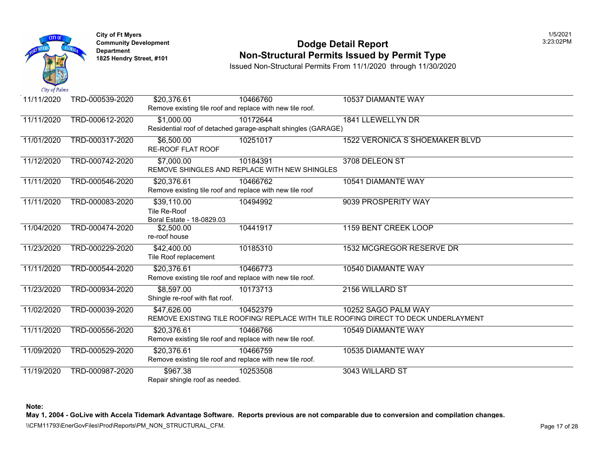

#### **Community Development 2:23:02 PODGE Detail Report 1825 Non-Structural Permits Issued by Permit Type**

Issued Non-Structural Permits From 11/1/2020 through 11/30/2020

| 11/11/2020 | TRD-000539-2020 | \$20,376.61                                               | 10466760                                                      | 10537 DIAMANTE WAY                                                              |
|------------|-----------------|-----------------------------------------------------------|---------------------------------------------------------------|---------------------------------------------------------------------------------|
|            |                 | Remove existing tile roof and replace with new tile roof. |                                                               |                                                                                 |
| 11/11/2020 | TRD-000612-2020 | \$1,000.00                                                | 10172644                                                      | 1841 LLEWELLYN DR                                                               |
|            |                 |                                                           | Residential roof of detached garage-asphalt shingles (GARAGE) |                                                                                 |
| 11/01/2020 | TRD-000317-2020 | \$6,500.00                                                | 10251017                                                      | 1522 VERONICA S SHOEMAKER E                                                     |
|            |                 | <b>RE-ROOF FLAT ROOF</b>                                  |                                                               |                                                                                 |
| 11/12/2020 | TRD-000742-2020 | \$7,000.00                                                | 10184391                                                      | 3708 DELEON ST                                                                  |
|            |                 |                                                           | REMOVE SHINGLES AND REPLACE WITH NEW SHINGLES                 |                                                                                 |
| 11/11/2020 | TRD-000546-2020 | \$20,376.61                                               | 10466762                                                      | 10541 DIAMANTE WAY                                                              |
|            |                 | Remove existing tile roof and replace with new tile roof  |                                                               |                                                                                 |
| 11/11/2020 | TRD-000083-2020 | \$39,110.00                                               | 10494992                                                      | 9039 PROSPERITY WAY                                                             |
|            |                 | Tile Re-Roof                                              |                                                               |                                                                                 |
|            |                 | Boral Estate - 18-0829.03                                 |                                                               |                                                                                 |
| 11/04/2020 | TRD-000474-2020 | \$2,500.00                                                | 10441917                                                      | 1159 BENT CREEK LOOP                                                            |
|            |                 | re-roof house                                             |                                                               |                                                                                 |
| 11/23/2020 | TRD-000229-2020 | \$42,400.00                                               | 10185310                                                      | 1532 MCGREGOR RESERVE DR                                                        |
|            |                 | Tile Roof replacement                                     |                                                               |                                                                                 |
| 11/11/2020 | TRD-000544-2020 | \$20,376.61                                               | 10466773                                                      | 10540 DIAMANTE WAY                                                              |
|            |                 | Remove existing tile roof and replace with new tile roof. |                                                               |                                                                                 |
| 11/23/2020 | TRD-000934-2020 | \$8,597.00                                                | 10173713                                                      | 2156 WILLARD ST                                                                 |
|            |                 | Shingle re-roof with flat roof.                           |                                                               |                                                                                 |
| 11/02/2020 | TRD-000039-2020 | \$47,626.00                                               | 10452379                                                      | 10252 SAGO PALM WAY                                                             |
|            |                 |                                                           |                                                               | REMOVE EXISTING TILE ROOFING/ REPLACE WITH TILE ROOFING DIRECT TO DECK UNDERLAY |
| 11/11/2020 | TRD-000556-2020 | \$20,376.61                                               | 10466766                                                      | 10549 DIAMANTE WAY                                                              |
|            |                 | Remove existing tile roof and replace with new tile roof. |                                                               |                                                                                 |
| 11/09/2020 | TRD-000529-2020 | \$20,376.61                                               | 10466759                                                      | 10535 DIAMANTE WAY                                                              |
|            |                 | Remove existing tile roof and replace with new tile roof. |                                                               |                                                                                 |
| 11/19/2020 | TRD-000987-2020 | \$967.38                                                  | 10253508                                                      | 3043 WILLARD ST                                                                 |
|            |                 | Repair shingle roof as needed.                            |                                                               |                                                                                 |

**Note:**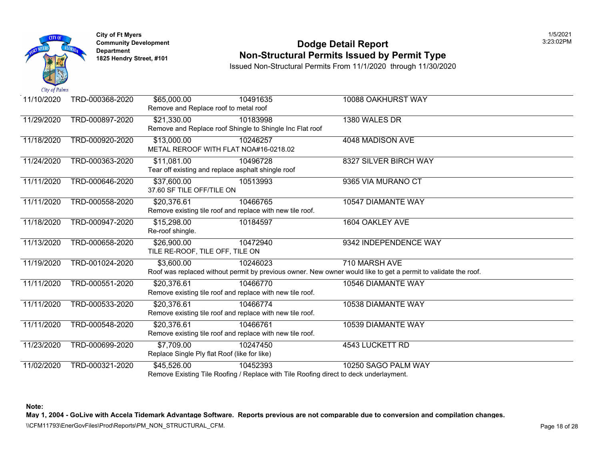

#### **Community Develop[ment](https://37,600.00) Dodge Detail Report** 3:23:02PM **1825 Non-Structural Permits Issued by Permit Type**

Issued Non-Structural Permits From 11/1/2020 through 11/30/2020

| 11/10/2020 | TRD-000368-2020 | \$65,000.00                                  | 10491635                                                                              | 10088 OAKHURST WAY                                                                                       |
|------------|-----------------|----------------------------------------------|---------------------------------------------------------------------------------------|----------------------------------------------------------------------------------------------------------|
|            |                 | Remove and Replace roof to metal roof        |                                                                                       |                                                                                                          |
| 11/29/2020 | TRD-000897-2020 | \$21,330.00                                  | 10183998                                                                              | 1380 WALES DR                                                                                            |
|            |                 |                                              | Remove and Replace roof Shingle to Shingle Inc Flat roof                              |                                                                                                          |
| 11/18/2020 | TRD-000920-2020 | \$13,000.00                                  | 10246257                                                                              | 4048 MADISON AVE                                                                                         |
|            |                 |                                              | METAL REROOF WITH FLAT NOA#16-0218.02                                                 |                                                                                                          |
| 11/24/2020 | TRD-000363-2020 | \$11,081.00                                  | 10496728                                                                              | 8327 SILVER BIRCH WAY                                                                                    |
|            |                 |                                              | Tear off existing and replace asphalt shingle roof                                    |                                                                                                          |
| 11/11/2020 | TRD-000646-2020 | \$37,600.00                                  | 10513993                                                                              | 9365 VIA MURANO CT                                                                                       |
|            |                 | 37.60 SF TILE OFF/TILE ON                    |                                                                                       |                                                                                                          |
| 11/11/2020 | TRD-000558-2020 | \$20,376.61                                  | 10466765                                                                              | 10547 DIAMANTE WAY                                                                                       |
|            |                 |                                              | Remove existing tile roof and replace with new tile roof.                             |                                                                                                          |
| 11/18/2020 | TRD-000947-2020 | \$15,298.00                                  | 10184597                                                                              | 1604 OAKLEY AVE                                                                                          |
|            |                 | Re-roof shingle.                             |                                                                                       |                                                                                                          |
| 11/13/2020 | TRD-000658-2020 | \$26,900.00                                  | 10472940                                                                              | 9342 INDEPENDENCE WAY                                                                                    |
|            |                 | TILE RE-ROOF, TILE OFF, TILE ON              |                                                                                       |                                                                                                          |
| 11/19/2020 | TRD-001024-2020 | \$3.600.00                                   | 10246023                                                                              | 710 MARSH AVE                                                                                            |
|            |                 |                                              |                                                                                       | Roof was replaced without permit by previous owner. New owner would like to get a permit to validate the |
| 11/11/2020 | TRD-000551-2020 | \$20,376.61                                  | 10466770                                                                              | 10546 DIAMANTE WAY                                                                                       |
|            |                 |                                              | Remove existing tile roof and replace with new tile roof.                             |                                                                                                          |
| 11/11/2020 | TRD-000533-2020 | \$20,376.61                                  | 10466774                                                                              | 10538 DIAMANTE WAY                                                                                       |
|            |                 |                                              | Remove existing tile roof and replace with new tile roof.                             |                                                                                                          |
| 11/11/2020 | TRD-000548-2020 | \$20,376.61                                  | 10466761                                                                              | 10539 DIAMANTE WAY                                                                                       |
|            |                 |                                              | Remove existing tile roof and replace with new tile roof.                             |                                                                                                          |
| 11/23/2020 | TRD-000699-2020 | \$7,709.00                                   | 10247450                                                                              | 4543 LUCKETT RD                                                                                          |
|            |                 | Replace Single Ply flat Roof (like for like) |                                                                                       |                                                                                                          |
| 11/02/2020 | TRD-000321-2020 | \$45,526.00                                  | 10452393                                                                              | 10250 SAGO PALM WAY                                                                                      |
|            |                 |                                              | Remove Existing Tile Roofing / Replace with Tile Roofing direct to deck underlayment. |                                                                                                          |

**Note:**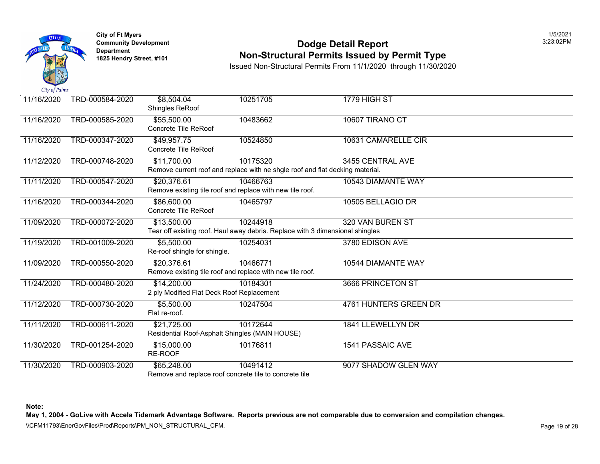

## **Community Develop[ment](https://20,376.61) Dodge Detail Report** 3:23:02PM **Non-Structural Permits Issued by Permit Type**

Issued Non-Structural Permits From 11/1/2020 through 11/30/2020

| 11/16/2020 | TRD-000584-2020 | \$8,504.04<br>Shingles ReRoof                            | 10251705                                                                                  | 1779 HIGH ST          |
|------------|-----------------|----------------------------------------------------------|-------------------------------------------------------------------------------------------|-----------------------|
| 11/16/2020 | TRD-000585-2020 | \$55,500.00<br>Concrete Tile ReRoof                      | 10483662                                                                                  | 10607 TIRANO CT       |
| 11/16/2020 | TRD-000347-2020 | \$49,957.75<br>Concrete Tile ReRoof                      | 10524850                                                                                  | 10631 CAMARELLE CIR   |
| 11/12/2020 | TRD-000748-2020 | \$11,700.00                                              | 10175320<br>Remove current roof and replace with ne shgle roof and flat decking material. | 3455 CENTRAL AVE      |
| 11/11/2020 | TRD-000547-2020 | \$20,376.61                                              | 10466763<br>Remove existing tile roof and replace with new tile roof.                     | 10543 DIAMANTE WAY    |
| 11/16/2020 | TRD-000344-2020 | \$86,600.00<br>Concrete Tile ReRoof                      | 10465797                                                                                  | 10505 BELLAGIO DR     |
| 11/09/2020 | TRD-000072-2020 | $\overline{$}13,500.00$                                  | 10244918<br>Tear off existing roof. Haul away debris. Replace with 3 dimensional shingles | 320 VAN BUREN ST      |
| 11/19/2020 | TRD-001009-2020 | \$5,500.00<br>Re-roof shingle for shingle.               | 10254031                                                                                  | 3780 EDISON AVE       |
| 11/09/2020 | TRD-000550-2020 | \$20,376.61                                              | 10466771<br>Remove existing tile roof and replace with new tile roof.                     | 10544 DIAMANTE WAY    |
| 11/24/2020 | TRD-000480-2020 | \$14,200.00<br>2 ply Modified Flat Deck Roof Replacement | 10184301                                                                                  | 3666 PRINCETON ST     |
| 11/12/2020 | TRD-000730-2020 | \$5,500.00<br>Flat re-roof.                              | 10247504                                                                                  | 4761 HUNTERS GREEN DR |
| 11/11/2020 | TRD-000611-2020 | \$21,725.00                                              | 10172644<br>Residential Roof-Asphalt Shingles (MAIN HOUSE)                                | 1841 LLEWELLYN DR     |
| 11/30/2020 | TRD-001254-2020 | \$15,000.00<br>RE-ROOF                                   | 10176811                                                                                  | 1541 PASSAIC AVE      |
| 11/30/2020 | TRD-000903-2020 | \$65,248.00                                              | 10491412<br>Remove and replace roof concrete tile to concrete tile                        | 9077 SHADOW GLEN WAY  |

**Note:**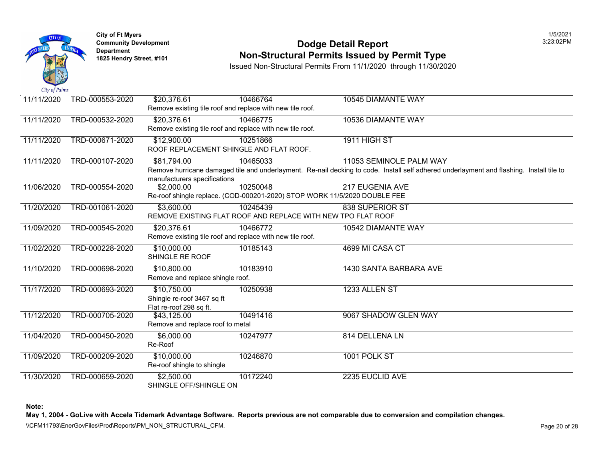

#### **Community Development 2:23:02 PODGE Detail Report 1825 Non-Structural Permits Issued by Permit Type**

Issued Non-Structural Permits From 11/1/2020 through 11/30/2020

| 11/11/2020 | TRD-000553-2020 | \$20,376.61<br>Remove existing tile roof and replace with new tile roof. | 10466764                                                                              | 10545 DIAMANTE WAY                                                                                                               |
|------------|-----------------|--------------------------------------------------------------------------|---------------------------------------------------------------------------------------|----------------------------------------------------------------------------------------------------------------------------------|
| 11/11/2020 | TRD-000532-2020 | \$20,376.61<br>Remove existing tile roof and replace with new tile roof. | 10466775                                                                              | 10536 DIAMANTE WAY                                                                                                               |
| 11/11/2020 | TRD-000671-2020 | \$12,900.00<br>ROOF REPLACEMENT SHINGLE AND FLAT ROOF.                   | 10251866                                                                              | 1911 HIGH ST                                                                                                                     |
| 11/11/2020 | TRD-000107-2020 | \$81,794.00<br>manufacturers specifications                              | 10465033                                                                              | 11053 SEMINOLE PALM WAY<br>Remove hurricane damaged tile and underlayment. Re-nail decking to code. Install self adhered underla |
| 11/06/2020 | TRD-000554-2020 | \$2,000.00                                                               | 10250048<br>Re-roof shingle replace. (COD-000201-2020) STOP WORK 11/5/2020 DOUBLE FEE | <b>217 EUGENIA AVE</b>                                                                                                           |
| 11/20/2020 | TRD-001061-2020 | $\overline{$3,600.00}$                                                   | 10245439<br>REMOVE EXISTING FLAT ROOF AND REPLACE WITH NEW TPO FLAT ROOF              | <b>838 SUPERIOR ST</b>                                                                                                           |
| 11/09/2020 | TRD-000545-2020 | \$20,376.61<br>Remove existing tile roof and replace with new tile roof. | 10466772                                                                              | 10542 DIAMANTE WAY                                                                                                               |
| 11/02/2020 | TRD-000228-2020 | \$10,000.00<br>SHINGLE RE ROOF                                           | 10185143                                                                              | 4699 MI CASA CT                                                                                                                  |
| 11/10/2020 | TRD-000698-2020 | \$10,800.00<br>Remove and replace shingle roof.                          | 10183910                                                                              | 1430 SANTA BARBARA AVE                                                                                                           |
| 11/17/2020 | TRD-000693-2020 | \$10,750.00<br>Shingle re-roof 3467 sq ft<br>Flat re-roof 298 sq ft.     | 10250938                                                                              | 1233 ALLEN ST                                                                                                                    |
| 11/12/2020 | TRD-000705-2020 | \$43,125.00<br>Remove and replace roof to metal                          | 10491416                                                                              | 9067 SHADOW GLEN WAY                                                                                                             |
| 11/04/2020 | TRD-000450-2020 | \$6,000.00<br>Re-Roof                                                    | 10247977                                                                              | 814 DELLENA LN                                                                                                                   |
| 11/09/2020 | TRD-000209-2020 | \$10,000.00<br>Re-roof shingle to shingle                                | 10246870                                                                              | 1001 POLK ST                                                                                                                     |
| 11/30/2020 | TRD-000659-2020 | \$2,500.00<br>SHINGLE OFF/SHINGLE ON                                     | 10172240                                                                              | 2235 EUCLID AVE                                                                                                                  |

**Note:**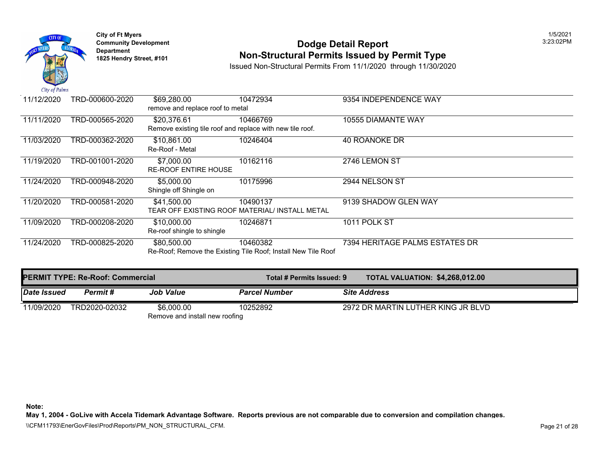

#### **Community Development 2:23:02 PODGE Detail Report 1825 Non-Structural Permits Issued by Permit Type**

Issued Non-Structural Permits From 11/1/2020 through 11/30/2020

| 11/12/2020 | TRD-000600-2020 | \$69,280.00                                               | 10472934                                                      | 9354 INDEPENDENCE WAY       |
|------------|-----------------|-----------------------------------------------------------|---------------------------------------------------------------|-----------------------------|
|            |                 | remove and replace roof to metal                          |                                                               |                             |
| 11/11/2020 | TRD-000565-2020 | \$20,376.61                                               | 10466769                                                      | 10555 DIAMANTE WAY          |
|            |                 | Remove existing tile roof and replace with new tile roof. |                                                               |                             |
| 11/03/2020 | TRD-000362-2020 | \$10,861.00                                               | 10246404                                                      | 40 ROANOKE DR               |
|            |                 | Re-Roof - Metal                                           |                                                               |                             |
| 11/19/2020 | TRD-001001-2020 | \$7,000.00                                                | 10162116                                                      | 2746 LEMON ST               |
|            |                 | <b>RE-ROOF ENTIRE HOUSE</b>                               |                                                               |                             |
| 11/24/2020 | TRD-000948-2020 | \$5,000.00                                                | 10175996                                                      | 2944 NELSON ST              |
|            |                 | Shingle off Shingle on                                    |                                                               |                             |
| 11/20/2020 | TRD-000581-2020 | \$41,500.00                                               | 10490137                                                      | 9139 SHADOW GLEN WAY        |
|            |                 |                                                           | TEAR OFF EXISTING ROOF MATERIAL/ INSTALL METAL                |                             |
| 11/09/2020 | TRD-000208-2020 | \$10,000.00                                               | 10246871                                                      | 1011 POLK ST                |
|            |                 | Re-roof shingle to shingle                                |                                                               |                             |
| 11/24/2020 | TRD-000825-2020 | \$80,500.00                                               | 10460382                                                      | 7394 HERITAGE PALMS ESTATES |
|            |                 |                                                           | Re-Roof; Remove the Existing Tile Roof; Install New Tile Roof |                             |

|             | <b>PERMIT TYPE: Re-Roof: Commercial</b> |                                | Total # Permits Issued: 9 | <b>TOTAL VALUATION: \$4,268,0</b> |  |
|-------------|-----------------------------------------|--------------------------------|---------------------------|-----------------------------------|--|
| Date Issued | Permit #                                | Job Value                      | <b>Parcel Number</b>      | <b>Site Address</b>               |  |
| 11/09/2020  | TRD2020-02032                           | \$6,000,00                     | 10252892                  | 2972 DR MARTIN LUTHER KING J      |  |
|             |                                         | Remove and install new roofing |                           |                                   |  |

**Note:**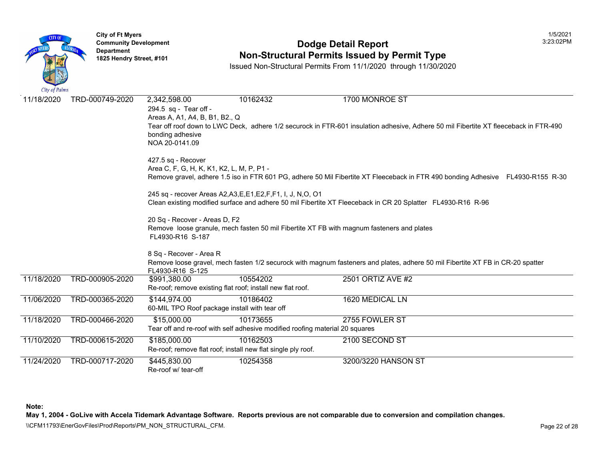

# **Community Development 2:23:02 PODGE Detail Report Non-Structural Permits Issued by Permit Type**

Issued Non-Structural Permits From 11/1/2020 through 11/30/2020

| City of Fullis |                 |                                                                                                               |                                                                              |                                                                                                                         |  |  |  |
|----------------|-----------------|---------------------------------------------------------------------------------------------------------------|------------------------------------------------------------------------------|-------------------------------------------------------------------------------------------------------------------------|--|--|--|
| 11/18/2020     | TRD-000749-2020 | 2,342,598.00<br>294.5 sq - Tear off -<br>Areas A, A1, A4, B, B1, B2., Q                                       | 10162432                                                                     | 1700 MONROE ST<br>Tear off roof down to LWC Deck, adhere 1/2 securock in FTR-601 insulation adhesive, Adhere 50 mil Fit |  |  |  |
|                |                 | bonding adhesive<br>NOA 20-0141.09                                                                            |                                                                              |                                                                                                                         |  |  |  |
|                |                 | 427.5 sq - Recover                                                                                            |                                                                              |                                                                                                                         |  |  |  |
|                |                 | Area C, F, G, H, K, K1, K2, L, M, P, P1 -                                                                     |                                                                              |                                                                                                                         |  |  |  |
|                |                 |                                                                                                               |                                                                              | Remove gravel, adhere 1.5 iso in FTR 601 PG, adhere 50 Mil Fibertite XT Fleeceback in FTR 490 bondir                    |  |  |  |
|                |                 |                                                                                                               | 245 sq - recover Areas A2, A3, E, E1, E2, F, F1, I, J, N, O, O1              |                                                                                                                         |  |  |  |
|                |                 |                                                                                                               |                                                                              | Clean existing modified surface and adhere 50 mil Fibertite XT Fleeceback in CR 20 Splatter FL4930-R                    |  |  |  |
|                |                 | 20 Sq - Recover - Areas D, F2                                                                                 |                                                                              |                                                                                                                         |  |  |  |
|                |                 | Remove loose granule, mech fasten 50 mil Fibertite XT FB with magnum fasteners and plates<br>FL4930-R16 S-187 |                                                                              |                                                                                                                         |  |  |  |
|                |                 | 8 Sq - Recover - Area R                                                                                       |                                                                              |                                                                                                                         |  |  |  |
|                |                 | FL4930-R16 S-125                                                                                              |                                                                              | Remove loose gravel, mech fasten 1/2 securock with magnum fasteners and plates, adhere 50 mil Fibert                    |  |  |  |
| 11/18/2020     | TRD-000905-2020 | \$991,380.00                                                                                                  | 10554202                                                                     | 2501 ORTIZ AVE #2                                                                                                       |  |  |  |
|                |                 |                                                                                                               | Re-roof; remove existing flat roof; install new flat roof.                   |                                                                                                                         |  |  |  |
| 11/06/2020     | TRD-000365-2020 | \$144,974.00                                                                                                  | 10186402                                                                     | 1620 MEDICAL LN                                                                                                         |  |  |  |
|                |                 | 60-MIL TPO Roof package install with tear off                                                                 |                                                                              |                                                                                                                         |  |  |  |
| 11/18/2020     | TRD-000466-2020 | \$15,000.00                                                                                                   | 10173655                                                                     | 2755 FOWLER ST                                                                                                          |  |  |  |
|                |                 |                                                                                                               | Tear off and re-roof with self adhesive modified roofing material 20 squares |                                                                                                                         |  |  |  |
| 11/10/2020     | TRD-000615-2020 | \$185,000.00                                                                                                  | 10162503                                                                     | 2100 SECOND ST                                                                                                          |  |  |  |
|                |                 |                                                                                                               | Re-roof; remove flat roof; install new flat single ply roof.                 |                                                                                                                         |  |  |  |
| 11/24/2020     | TRD-000717-2020 | \$445,830.00                                                                                                  | 10254358                                                                     | 3200/3220 HANSON ST                                                                                                     |  |  |  |
|                |                 | Re-roof w/ tear-off                                                                                           |                                                                              |                                                                                                                         |  |  |  |

**Note:**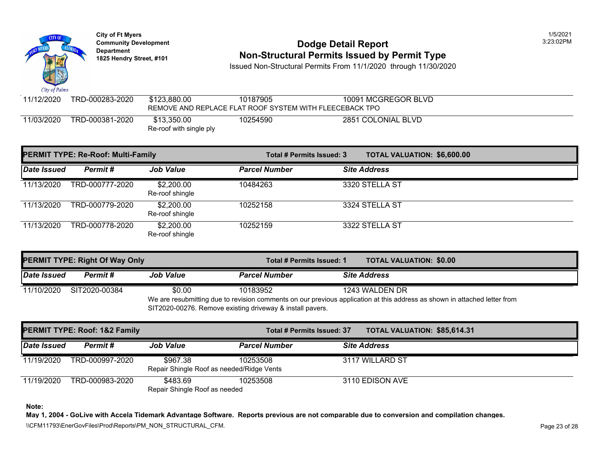

|                    | <b>PERMIT TYPE: Re-Roof: Multi-Family</b> |                               | Total # Permits Issued: 3 | <b>TOTAL VALUATION: \$6,600.0</b> |
|--------------------|-------------------------------------------|-------------------------------|---------------------------|-----------------------------------|
| <b>Date Issued</b> | Permit#                                   | <b>Job Value</b>              | <b>Parcel Number</b>      | <b>Site Address</b>               |
| 11/13/2020         | TRD-000777-2020                           | \$2,200.00<br>Re-roof shingle | 10484263                  | 3320 STELLA ST                    |
| 11/13/2020         | TRD-000779-2020                           | \$2,200.00<br>Re-roof shingle | 10252158                  | 3324 STELLA ST                    |
| 11/13/2020         | TRD-000778-2020                           | \$2,200.00<br>Re-roof shingle | 10252159                  | 3322 STELLA ST                    |

| <b>PERMIT TYPE: Right Of Way Only</b> |                 |                                                                                                                                                                      |                      | <b>TOTAL VALUATION: \$0.00</b><br>Total # Permits Issued: 1 |                     |  |
|---------------------------------------|-----------------|----------------------------------------------------------------------------------------------------------------------------------------------------------------------|----------------------|-------------------------------------------------------------|---------------------|--|
| <b>Date Issued</b>                    | <b>Permit</b> # | <b>Job Value</b>                                                                                                                                                     | <b>Parcel Number</b> |                                                             | <b>Site Address</b> |  |
| 11/10/2020                            | SIT2020-00384   | \$0.00                                                                                                                                                               | 10183952             |                                                             | 1243 WALDEN DR      |  |
|                                       |                 | We are resubmitting due to revision comments on our previous application at this address as shown in at<br>SIT2020-00276. Remove existing driveway & install pavers. |                      |                                                             |                     |  |

|             | <b>PERMIT TYPE: Roof: 1&amp;2 Family</b> |                                           | Total # Permits Issued: 37 | <b>TOTAL VALUATION: \$85,614</b> |  |
|-------------|------------------------------------------|-------------------------------------------|----------------------------|----------------------------------|--|
| Date Issued | Permit #                                 | <b>Job Value</b>                          | <b>Parcel Number</b>       | <b>Site Address</b>              |  |
| 11/19/2020  | TRD-000997-2020                          | \$967.38                                  | 10253508                   | 3117 WILLARD ST                  |  |
|             |                                          | Repair Shingle Roof as needed/Ridge Vents |                            |                                  |  |
| 11/19/2020  | TRD-000983-2020                          | \$483.69                                  | 10253508                   | 3110 EDISON AVE                  |  |
|             |                                          | Repair Shingle Roof as needed             |                            |                                  |  |

**Note:**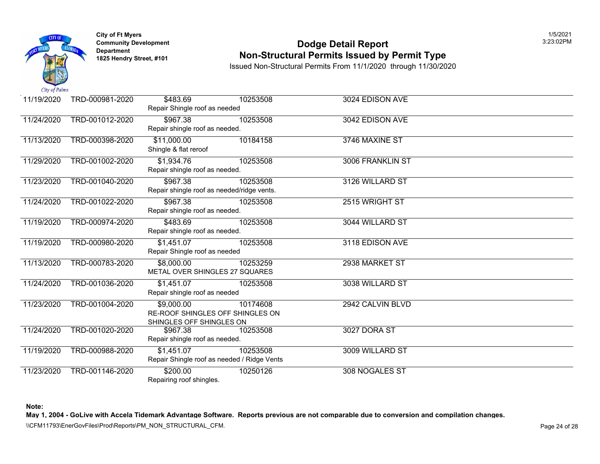

#### **Community Development** 3:23:02PM **1825 Non-Structural Permits Issued by Permit Type**

Issued Non-Structural Permits From 11/1/2020 through 11/30/2020

| 11/19/2020 | TRD-000981-2020 | \$483.69                                    | 10253508 | 3024 EDISON AVE  |
|------------|-----------------|---------------------------------------------|----------|------------------|
|            |                 | Repair Shingle roof as needed               |          |                  |
| 11/24/2020 | TRD-001012-2020 | \$967.38                                    | 10253508 | 3042 EDISON AVE  |
|            |                 | Repair shingle roof as needed.              |          |                  |
| 11/13/2020 | TRD-000398-2020 | \$11,000.00                                 | 10184158 | 3746 MAXINE ST   |
|            |                 | Shingle & flat reroof                       |          |                  |
| 11/29/2020 | TRD-001002-2020 | \$1,934.76                                  | 10253508 | 3006 FRANKLIN ST |
|            |                 | Repair shingle roof as needed.              |          |                  |
| 11/23/2020 | TRD-001040-2020 | \$967.38                                    | 10253508 | 3126 WILLARD ST  |
|            |                 | Repair shingle roof as needed/ridge vents.  |          |                  |
| 11/24/2020 | TRD-001022-2020 | \$967.38                                    | 10253508 | 2515 WRIGHT ST   |
|            |                 | Repair shingle roof as needed.              |          |                  |
| 11/19/2020 | TRD-000974-2020 | \$483.69                                    | 10253508 | 3044 WILLARD ST  |
|            |                 | Repair shingle roof as needed.              |          |                  |
| 11/19/2020 | TRD-000980-2020 | \$1,451.07                                  | 10253508 | 3118 EDISON AVE  |
|            |                 | Repair Shingle roof as needed               |          |                  |
| 11/13/2020 | TRD-000783-2020 | \$8,000.00                                  | 10253259 | 2938 MARKET ST   |
|            |                 | METAL OVER SHINGLES 27 SQUARES              |          |                  |
| 11/24/2020 | TRD-001036-2020 | \$1,451.07                                  | 10253508 | 3038 WILLARD ST  |
|            |                 | Repair shingle roof as needed               |          |                  |
| 11/23/2020 | TRD-001004-2020 | \$9,000.00                                  | 10174608 | 2942 CALVIN BLVD |
|            |                 | RE-ROOF SHINGLES OFF SHINGLES ON            |          |                  |
|            |                 | SHINGLES OFF SHINGLES ON                    |          |                  |
| 11/24/2020 | TRD-001020-2020 | \$967.38<br>Repair shingle roof as needed.  | 10253508 | 3027 DORA ST     |
|            |                 |                                             |          |                  |
| 11/19/2020 | TRD-000988-2020 | \$1,451.07                                  | 10253508 | 3009 WILLARD ST  |
|            |                 | Repair Shingle roof as needed / Ridge Vents |          |                  |
| 11/23/2020 | TRD-001146-2020 | \$200.00                                    | 10250126 | 308 NOGALES ST   |
|            |                 | Repairing roof shingles.                    |          |                  |

**Note:** 

**May 1, 2004 - GoLive with Accela Tidemark Advantage Software. Reports previous are not comparable due to conversion and compilation changes.** 

\\CFM11793\EnerGovFiles\Prod\Reports\PM\_NON\_STRUCTURAL\_CFM.<br>Rage 24 of 28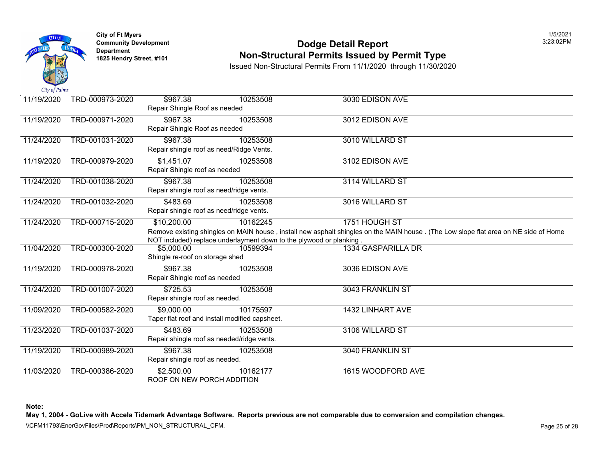

# **Community Development 2:23:02 PODGE Detail Report Non-Structural Permits Issued by Permit Type**

Issued Non-Structural Permits From 11/1/2020 through 11/30/2020

| 11/19/2020 | TRD-000973-2020 | \$967.38<br>Repair Shingle Roof as needed              | 10253508                                                                        | 3030 EDISON AVE                                                                                                       |
|------------|-----------------|--------------------------------------------------------|---------------------------------------------------------------------------------|-----------------------------------------------------------------------------------------------------------------------|
| 11/19/2020 | TRD-000971-2020 | \$967.38<br>Repair Shingle Roof as needed              | 10253508                                                                        | 3012 EDISON AVE                                                                                                       |
| 11/24/2020 | TRD-001031-2020 | \$967.38                                               | 10253508<br>Repair shingle roof as need/Ridge Vents.                            | 3010 WILLARD ST                                                                                                       |
| 11/19/2020 | TRD-000979-2020 | \$1,451.07<br>Repair Shingle roof as needed            | 10253508                                                                        | 3102 EDISON AVE                                                                                                       |
| 11/24/2020 | TRD-001038-2020 | \$967.38<br>Repair shingle roof as need/ridge vents.   | 10253508                                                                        | 3114 WILLARD ST                                                                                                       |
| 11/24/2020 | TRD-001032-2020 | \$483.69<br>Repair shingle roof as need/ridge vents.   | 10253508                                                                        | 3016 WILLARD ST                                                                                                       |
| 11/24/2020 | TRD-000715-2020 | \$10,200.00                                            | 10162245<br>NOT included) replace underlayment down to the plywood or planking. | 1751 HOUGH ST<br>Remove existing shingles on MAIN house, install new asphalt shingles on the MAIN house . (The Low sl |
| 11/04/2020 | TRD-000300-2020 | \$5,000.00<br>Shingle re-roof on storage shed          | 10599394                                                                        | 1334 GASPARILLA DR                                                                                                    |
| 11/19/2020 | TRD-000978-2020 | \$967.38<br>Repair Shingle roof as needed              | 10253508                                                                        | 3036 EDISON AVE                                                                                                       |
| 11/24/2020 | TRD-001007-2020 | $\overline{$}725.53$<br>Repair shingle roof as needed. | 10253508                                                                        | 3043 FRANKLIN ST                                                                                                      |
| 11/09/2020 | TRD-000582-2020 | \$9,000.00                                             | 10175597<br>Taper flat roof and install modified capsheet.                      | 1432 LINHART AVE                                                                                                      |
| 11/23/2020 | TRD-001037-2020 | \$483.69                                               | 10253508<br>Repair shingle roof as needed/ridge vents.                          | 3106 WILLARD ST                                                                                                       |
| 11/19/2020 | TRD-000989-2020 | \$967.38<br>Repair shingle roof as needed.             | 10253508                                                                        | 3040 FRANKLIN ST                                                                                                      |
| 11/03/2020 | TRD-000386-2020 | \$2,500.00<br>ROOF ON NEW PORCH ADDITION               | 10162177                                                                        | 1615 WOODFORD AVE                                                                                                     |

**Note:**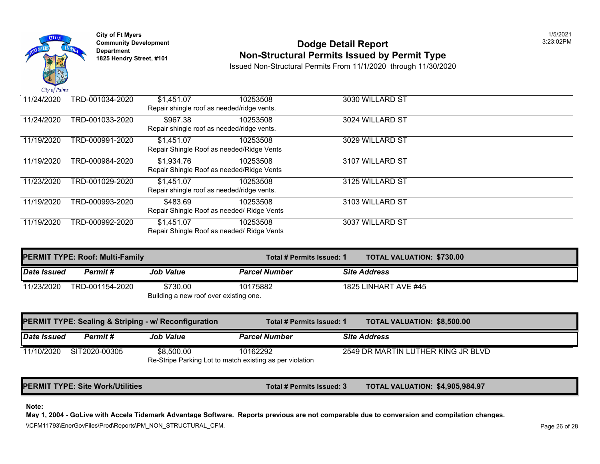

**City of Ft Myers** 1/5/2021

# **Community Development 3:23:02PM <b>Dodge Detail Report Department Department Department 1825 Hendry Street, #101 Non-Structural Permits Issued by Permit Type**

Issued Non-Structural Permits From 11/1/2020 through 11/30/2020

| 11/24/2020 | TRD-001034-2020                           | \$1,451.07 | 10253508                                   | 3030 WILLARD ST |  |  |  |  |
|------------|-------------------------------------------|------------|--------------------------------------------|-----------------|--|--|--|--|
|            |                                           |            | Repair shingle roof as needed/ridge vents. |                 |  |  |  |  |
| 11/24/2020 | TRD-001033-2020                           | \$967.38   | 10253508                                   | 3024 WILLARD ST |  |  |  |  |
|            |                                           |            | Repair shingle roof as needed/ridge vents. |                 |  |  |  |  |
| 11/19/2020 | TRD-000991-2020                           | \$1,451.07 | 10253508                                   | 3029 WILLARD ST |  |  |  |  |
|            |                                           |            | Repair Shingle Roof as needed/Ridge Vents  |                 |  |  |  |  |
| 11/19/2020 | TRD-000984-2020                           | \$1,934.76 | 10253508                                   | 3107 WILLARD ST |  |  |  |  |
|            | Repair Shingle Roof as needed/Ridge Vents |            |                                            |                 |  |  |  |  |
| 11/23/2020 | TRD-001029-2020                           | \$1,451.07 | 10253508                                   | 3125 WILLARD ST |  |  |  |  |
|            |                                           |            | Repair shingle roof as needed/ridge vents. |                 |  |  |  |  |
| 11/19/2020 | TRD-000993-2020                           | \$483.69   | 10253508                                   | 3103 WILLARD ST |  |  |  |  |
|            |                                           |            | Repair Shingle Roof as needed/ Ridge Vents |                 |  |  |  |  |
| 11/19/2020 | TRD-000992-2020                           | \$1,451.07 | 10253508                                   | 3037 WILLARD ST |  |  |  |  |
|            |                                           |            | Repair Shingle Roof as needed/ Ridge Vents |                 |  |  |  |  |

|             | <b>PERMIT TYPE: Roof: Multi-Family</b> |                                                                 | Total # Permits Issued: 1                                            | <b>TOTAL VALUATION: \$730.00</b>  |  |
|-------------|----------------------------------------|-----------------------------------------------------------------|----------------------------------------------------------------------|-----------------------------------|--|
| Date Issued | Permit#                                | <b>Job Value</b>                                                | <b>Parcel Number</b>                                                 | <b>Site Address</b>               |  |
| 11/23/2020  | TRD-001154-2020                        | \$730.00<br>Building a new roof over existing one.              | 10175882                                                             | 1825 LINHART AVE #45              |  |
|             |                                        | <b>PERMIT TYPE: Sealing &amp; Striping - w/ Reconfiguration</b> | Total # Permits Issued: 1                                            | <b>TOTAL VALUATION: \$8,500.0</b> |  |
| Date Issued | Permit#                                | <b>Job Value</b>                                                | <b>Parcel Number</b>                                                 | <b>Site Address</b>               |  |
| 11/10/2020  | SIT2020-00305                          | \$8,500.00                                                      | 10162292<br>Re-Stripe Parking Lot to match existing as per violation | 2549 DR MARTIN LUTHER KING J      |  |

PERMIT TYPE: Site Work/Utilities **The Community of the Community Community Community Community Community Community** 

#### **Note:**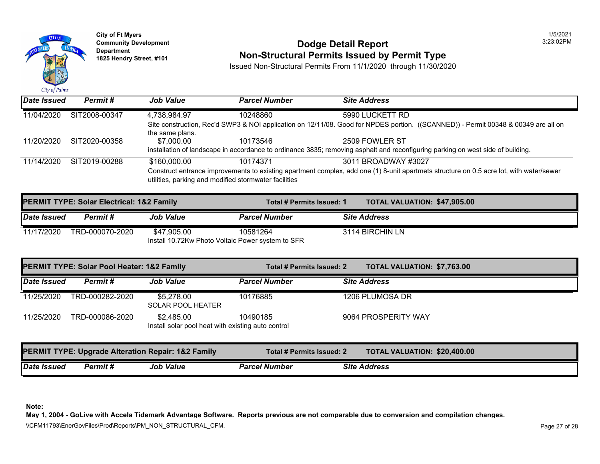

**City of Ft Myers** 1/5/2021

#### **Community Development 3:23:02PM <b>Dodge Detail Report Department Department Department 1825 Hendry Street, #101 Non-Structural Permits Issued by Permit Type**

Issued Non-Structural Permits From 11/1/2020 through 11/30/2020

|                                                   | <b>PERMIT TYPE: Solar Electrical: 1&amp;2 Family</b> |                  |                      | Total # Permits Issued: 1 |                     | <b>TOTAL VALUATION: \$47,905</b> |
|---------------------------------------------------|------------------------------------------------------|------------------|----------------------|---------------------------|---------------------|----------------------------------|
| Date Issued                                       | <b>Permit</b> #                                      | <b>Job Value</b> | <b>Parcel Number</b> |                           | <b>Site Address</b> |                                  |
| 11/17/2020                                        | TRD-000070-2020                                      | \$47.905.00      | 10581264             |                           | 3114 BIRCHIN LN     |                                  |
| Install 10.72Kw Photo Voltaic Power system to SFR |                                                      |                  |                      |                           |                     |                                  |

| <b>PERMIT TYPE: Solar Pool Heater: 1&amp;2 Family</b> |                                                               |                                                                  | <b>TOTAL VALUATION: \$7,763.0</b><br>Total # Permits Issued: 2 |                                  |  |
|-------------------------------------------------------|---------------------------------------------------------------|------------------------------------------------------------------|----------------------------------------------------------------|----------------------------------|--|
| Date Issued                                           | Permit#                                                       | <b>Job Value</b>                                                 | <b>Parcel Number</b>                                           | <b>Site Address</b>              |  |
| 11/25/2020                                            | TRD-000282-2020                                               | \$5,278.00<br><b>SOLAR POOL HEATER</b>                           | 10176885                                                       | 1206 PLUMOSA DR                  |  |
| 11/25/2020                                            | TRD-000086-2020                                               | \$2.485.00<br>Install solar pool heat with existing auto control | 10490185                                                       | 9064 PROSPERITY WAY              |  |
|                                                       | <b>PERMIT TYPE: Upgrade Alteration Repair: 1&amp;2 Family</b> |                                                                  | Total # Permits Issued: 2                                      | <b>TOTAL VALUATION: \$20,400</b> |  |
| Date Issued                                           | Permit #                                                      | <b>Job Value</b>                                                 | <b>Parcel Number</b>                                           | <b>Site Address</b>              |  |

**Note:**